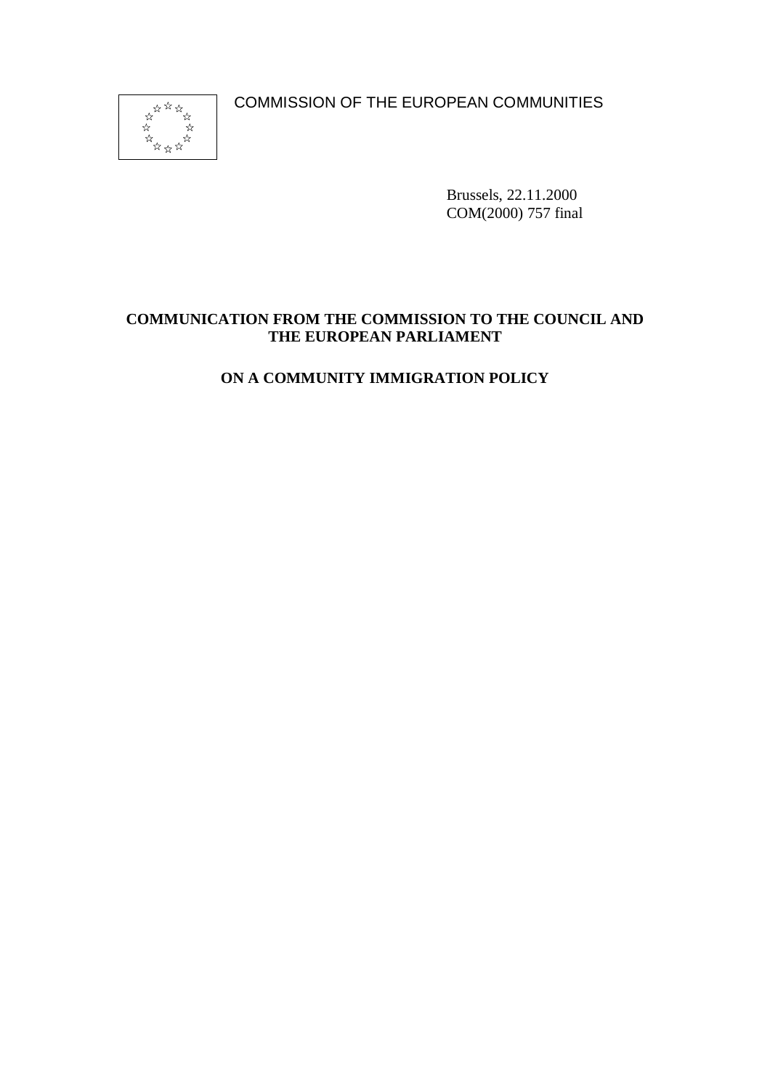COMMISSION OF THE EUROPEAN COMMUNITIES



Brussels, 22.11.2000 COM(2000) 757 final

# **COMMUNICATION FROM THE COMMISSION TO THE COUNCIL AND THE EUROPEAN PARLIAMENT**

# **ON A COMMUNITY IMMIGRATION POLICY**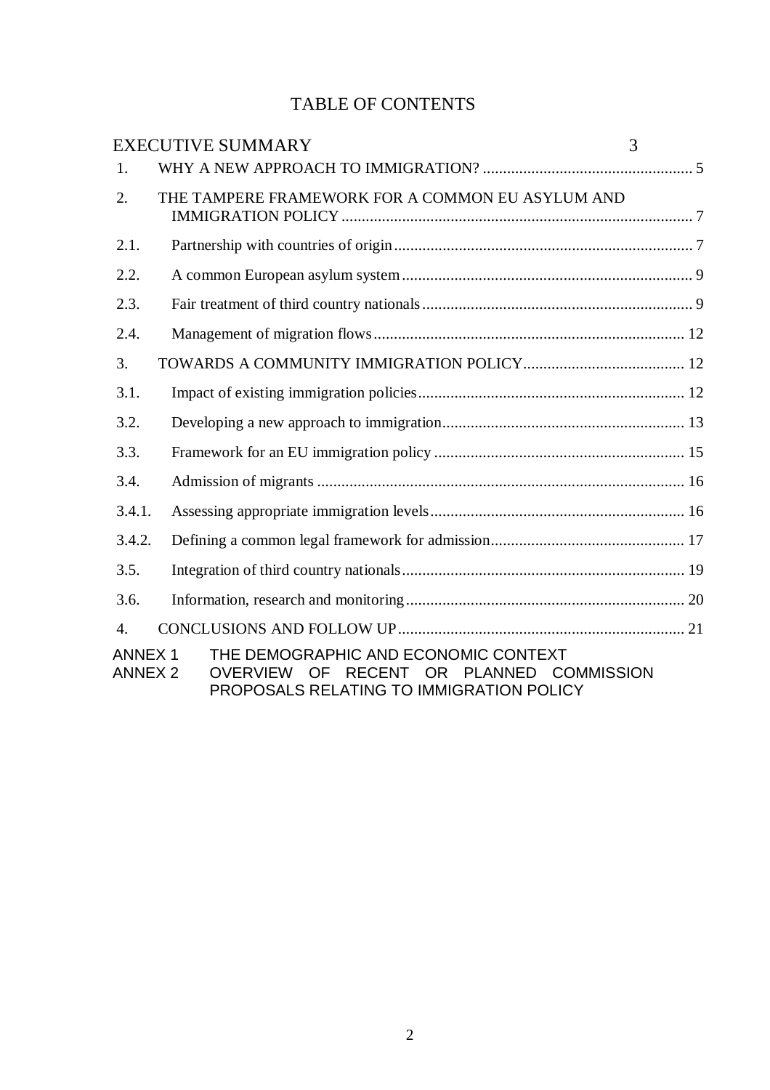# TABLE OF CONTENTS

|                                 | <b>EXECUTIVE SUMMARY</b>                                                                                                               | 3 |
|---------------------------------|----------------------------------------------------------------------------------------------------------------------------------------|---|
| 1.                              |                                                                                                                                        |   |
| 2.                              | THE TAMPERE FRAMEWORK FOR A COMMON EU ASYLUM AND                                                                                       |   |
| 2.1.                            |                                                                                                                                        |   |
| 2.2.                            |                                                                                                                                        |   |
| 2.3.                            |                                                                                                                                        |   |
| 2.4.                            |                                                                                                                                        |   |
| 3.                              |                                                                                                                                        |   |
| 3.1.                            |                                                                                                                                        |   |
| 3.2.                            |                                                                                                                                        |   |
| 3.3.                            |                                                                                                                                        |   |
| 3.4.                            |                                                                                                                                        |   |
| 3.4.1.                          |                                                                                                                                        |   |
| 3.4.2.                          |                                                                                                                                        |   |
| 3.5.                            |                                                                                                                                        |   |
| 3.6.                            |                                                                                                                                        |   |
| 4.                              |                                                                                                                                        |   |
| <b>ANNEX1</b><br><b>ANNEX 2</b> | THE DEMOGRAPHIC AND ECONOMIC CONTEXT<br>OF RECENT OR PLANNED COMMISSION<br><b>OVERVIEW</b><br>PROPOSALS RELATING TO IMMIGRATION POLICY |   |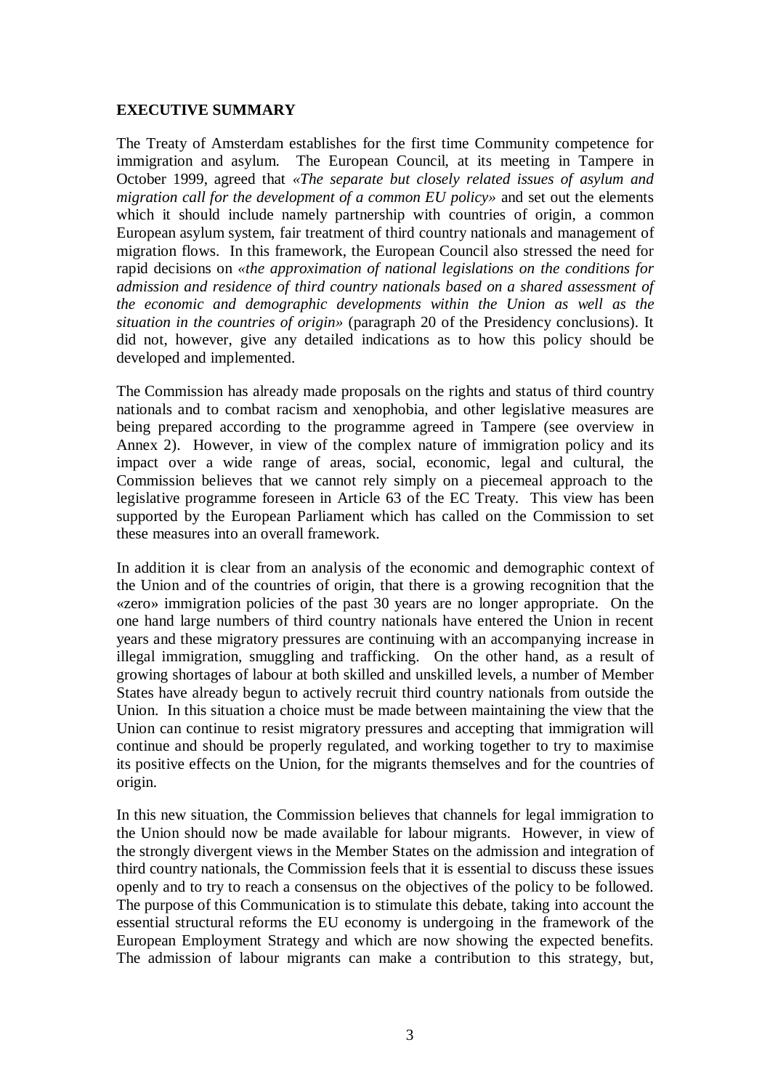### **EXECUTIVE SUMMARY**

The Treaty of Amsterdam establishes for the first time Community competence for immigration and asylum. The European Council, at its meeting in Tampere in October 1999, agreed that *«The separate but closely related issues of asylum and migration call for the development of a common EU policy»* and set out the elements which it should include namely partnership with countries of origin, a common European asylum system, fair treatment of third country nationals and management of migration flows. In this framework, the European Council also stressed the need for rapid decisions on *«the approximation of national legislations on the conditions for admission and residence of third country nationals based on a shared assessment of the economic and demographic developments within the Union as well as the situation in the countries of origin»* (paragraph 20 of the Presidency conclusions). It did not, however, give any detailed indications as to how this policy should be developed and implemented.

The Commission has already made proposals on the rights and status of third country nationals and to combat racism and xenophobia, and other legislative measures are being prepared according to the programme agreed in Tampere (see overview in Annex 2). However, in view of the complex nature of immigration policy and its impact over a wide range of areas, social, economic, legal and cultural, the Commission believes that we cannot rely simply on a piecemeal approach to the legislative programme foreseen in Article 63 of the EC Treaty. This view has been supported by the European Parliament which has called on the Commission to set these measures into an overall framework.

In addition it is clear from an analysis of the economic and demographic context of the Union and of the countries of origin, that there is a growing recognition that the «zero» immigration policies of the past 30 years are no longer appropriate. On the one hand large numbers of third country nationals have entered the Union in recent years and these migratory pressures are continuing with an accompanying increase in illegal immigration, smuggling and trafficking. On the other hand, as a result of growing shortages of labour at both skilled and unskilled levels, a number of Member States have already begun to actively recruit third country nationals from outside the Union. In this situation a choice must be made between maintaining the view that the Union can continue to resist migratory pressures and accepting that immigration will continue and should be properly regulated, and working together to try to maximise its positive effects on the Union, for the migrants themselves and for the countries of origin.

In this new situation, the Commission believes that channels for legal immigration to the Union should now be made available for labour migrants. However, in view of the strongly divergent views in the Member States on the admission and integration of third country nationals, the Commission feels that it is essential to discuss these issues openly and to try to reach a consensus on the objectives of the policy to be followed. The purpose of this Communication is to stimulate this debate, taking into account the essential structural reforms the EU economy is undergoing in the framework of the European Employment Strategy and which are now showing the expected benefits. The admission of labour migrants can make a contribution to this strategy, but,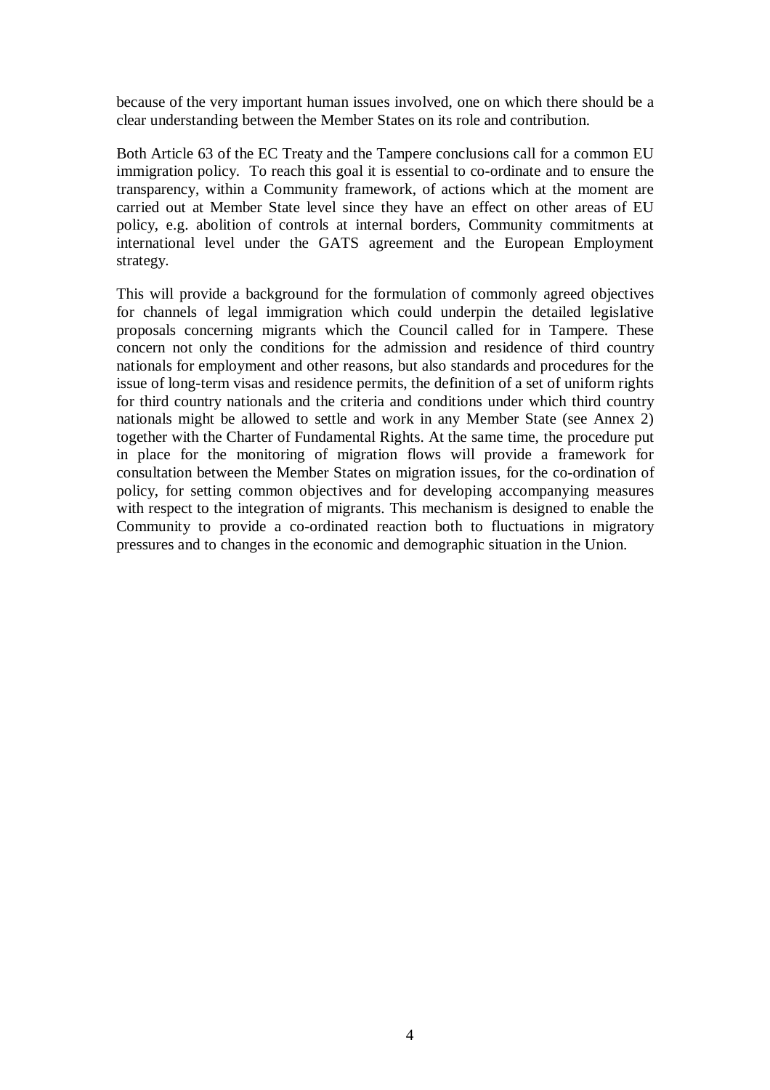because of the very important human issues involved, one on which there should be a clear understanding between the Member States on its role and contribution.

Both Article 63 of the EC Treaty and the Tampere conclusions call for a common EU immigration policy. To reach this goal it is essential to co-ordinate and to ensure the transparency, within a Community framework, of actions which at the moment are carried out at Member State level since they have an effect on other areas of EU policy, e.g. abolition of controls at internal borders, Community commitments at international level under the GATS agreement and the European Employment strategy.

This will provide a background for the formulation of commonly agreed objectives for channels of legal immigration which could underpin the detailed legislative proposals concerning migrants which the Council called for in Tampere. These concern not only the conditions for the admission and residence of third country nationals for employment and other reasons, but also standards and procedures for the issue of long-term visas and residence permits, the definition of a set of uniform rights for third country nationals and the criteria and conditions under which third country nationals might be allowed to settle and work in any Member State (see Annex 2) together with the Charter of Fundamental Rights. At the same time, the procedure put in place for the monitoring of migration flows will provide a framework for consultation between the Member States on migration issues, for the co-ordination of policy, for setting common objectives and for developing accompanying measures with respect to the integration of migrants. This mechanism is designed to enable the Community to provide a co-ordinated reaction both to fluctuations in migratory pressures and to changes in the economic and demographic situation in the Union.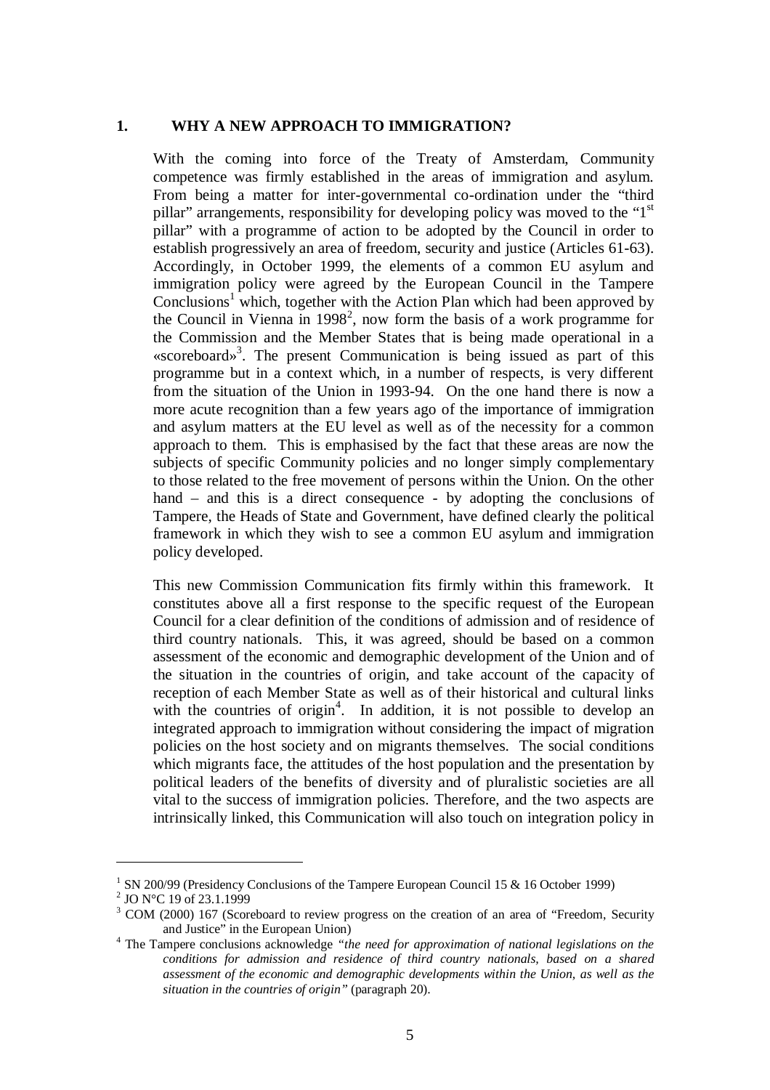#### **1. WHY A NEW APPROACH TO IMMIGRATION?**

With the coming into force of the Treaty of Amsterdam, Community competence was firmly established in the areas of immigration and asylum. From being a matter for inter-governmental co-ordination under the "third pillar" arrangements, responsibility for developing policy was moved to the "1st pillar" with a programme of action to be adopted by the Council in order to establish progressively an area of freedom, security and justice (Articles 61-63). Accordingly, in October 1999, the elements of a common EU asylum and immigration policy were agreed by the European Council in the Tampere  $Conclusions<sup>1</sup>$  which, together with the Action Plan which had been approved by the Council in Vienna in 1998<sup>2</sup>, now form the basis of a work programme for the Commission and the Member States that is being made operational in a «scoreboard»<sup>3</sup>. The present Communication is being issued as part of this programme but in a context which, in a number of respects, is very different from the situation of the Union in 1993-94. On the one hand there is now a more acute recognition than a few years ago of the importance of immigration and asylum matters at the EU level as well as of the necessity for a common approach to them. This is emphasised by the fact that these areas are now the subjects of specific Community policies and no longer simply complementary to those related to the free movement of persons within the Union. On the other hand – and this is a direct consequence - by adopting the conclusions of Tampere, the Heads of State and Government, have defined clearly the political framework in which they wish to see a common EU asylum and immigration policy developed.

This new Commission Communication fits firmly within this framework. It constitutes above all a first response to the specific request of the European Council for a clear definition of the conditions of admission and of residence of third country nationals. This, it was agreed, should be based on a common assessment of the economic and demographic development of the Union and of the situation in the countries of origin, and take account of the capacity of reception of each Member State as well as of their historical and cultural links with the countries of origin<sup>4</sup>. In addition, it is not possible to develop an integrated approach to immigration without considering the impact of migration policies on the host society and on migrants themselves. The social conditions which migrants face, the attitudes of the host population and the presentation by political leaders of the benefits of diversity and of pluralistic societies are all vital to the success of immigration policies. Therefore, and the two aspects are intrinsically linked, this Communication will also touch on integration policy in

<sup>&</sup>lt;sup>1</sup> SN 200/99 (Presidency Conclusions of the Tampere European Council 15 & 16 October 1999)

<sup>&</sup>lt;sup>2</sup> JO N°C 19 of 23.1.1999

 $3$  COM (2000) 167 (Scoreboard to review progress on the creation of an area of "Freedom, Security and Justice" in the European Union)

<sup>&</sup>lt;sup>4</sup> The Tampere conclusions acknowledge *"the need for approximation of national legislations on the conditions for admission and residence of third country nationals, based on a shared assessment of the economic and demographic developments within the Union, as well as the situation in the countries of origin"* (paragraph 20).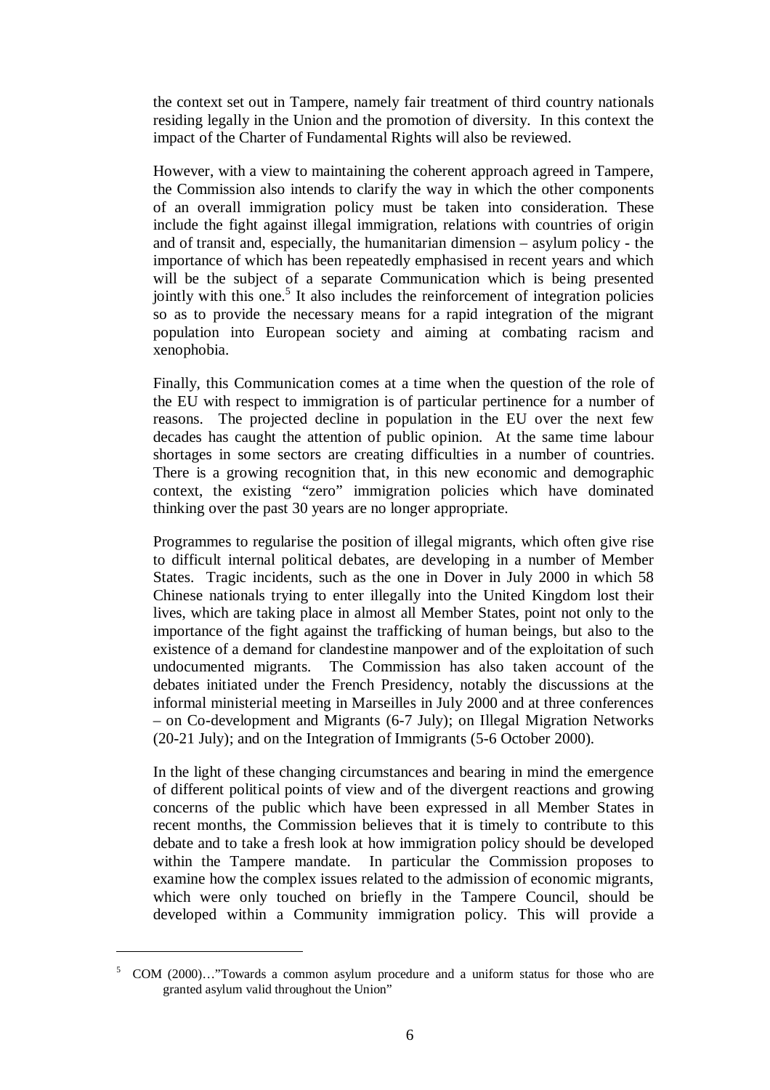the context set out in Tampere, namely fair treatment of third country nationals residing legally in the Union and the promotion of diversity. In this context the impact of the Charter of Fundamental Rights will also be reviewed.

However, with a view to maintaining the coherent approach agreed in Tampere, the Commission also intends to clarify the way in which the other components of an overall immigration policy must be taken into consideration. These include the fight against illegal immigration, relations with countries of origin and of transit and, especially, the humanitarian dimension – asylum policy - the importance of which has been repeatedly emphasised in recent years and which will be the subject of a separate Communication which is being presented jointly with this one.<sup>5</sup> It also includes the reinforcement of integration policies so as to provide the necessary means for a rapid integration of the migrant population into European society and aiming at combating racism and xenophobia.

Finally, this Communication comes at a time when the question of the role of the EU with respect to immigration is of particular pertinence for a number of reasons. The projected decline in population in the EU over the next few decades has caught the attention of public opinion. At the same time labour shortages in some sectors are creating difficulties in a number of countries. There is a growing recognition that, in this new economic and demographic context, the existing "zero" immigration policies which have dominated thinking over the past 30 years are no longer appropriate.

Programmes to regularise the position of illegal migrants, which often give rise to difficult internal political debates, are developing in a number of Member States. Tragic incidents, such as the one in Dover in July 2000 in which 58 Chinese nationals trying to enter illegally into the United Kingdom lost their lives, which are taking place in almost all Member States, point not only to the importance of the fight against the trafficking of human beings, but also to the existence of a demand for clandestine manpower and of the exploitation of such undocumented migrants. The Commission has also taken account of the debates initiated under the French Presidency, notably the discussions at the informal ministerial meeting in Marseilles in July 2000 and at three conferences – on Co-development and Migrants (6-7 July); on Illegal Migration Networks (20-21 July); and on the Integration of Immigrants (5-6 October 2000).

In the light of these changing circumstances and bearing in mind the emergence of different political points of view and of the divergent reactions and growing concerns of the public which have been expressed in all Member States in recent months, the Commission believes that it is timely to contribute to this debate and to take a fresh look at how immigration policy should be developed within the Tampere mandate. In particular the Commission proposes to examine how the complex issues related to the admission of economic migrants, which were only touched on briefly in the Tampere Council, should be developed within a Community immigration policy. This will provide a

<sup>5</sup> COM (2000)…"Towards a common asylum procedure and a uniform status for those who are granted asylum valid throughout the Union"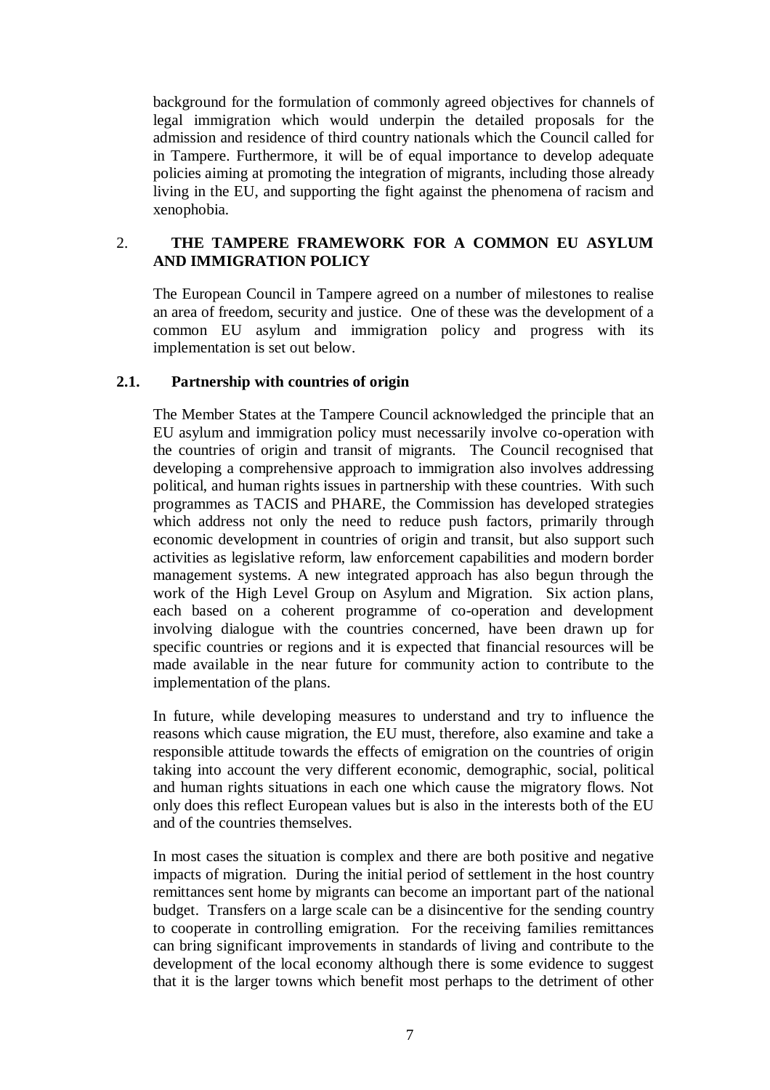background for the formulation of commonly agreed objectives for channels of legal immigration which would underpin the detailed proposals for the admission and residence of third country nationals which the Council called for in Tampere. Furthermore, it will be of equal importance to develop adequate policies aiming at promoting the integration of migrants, including those already living in the EU, and supporting the fight against the phenomena of racism and xenophobia.

### 2. **THE TAMPERE FRAMEWORK FOR A COMMON EU ASYLUM AND IMMIGRATION POLICY**

The European Council in Tampere agreed on a number of milestones to realise an area of freedom, security and justice. One of these was the development of a common EU asylum and immigration policy and progress with its implementation is set out below.

### **2.1. Partnership with countries of origin**

The Member States at the Tampere Council acknowledged the principle that an EU asylum and immigration policy must necessarily involve co-operation with the countries of origin and transit of migrants. The Council recognised that developing a comprehensive approach to immigration also involves addressing political, and human rights issues in partnership with these countries. With such programmes as TACIS and PHARE, the Commission has developed strategies which address not only the need to reduce push factors, primarily through economic development in countries of origin and transit, but also support such activities as legislative reform, law enforcement capabilities and modern border management systems. A new integrated approach has also begun through the work of the High Level Group on Asylum and Migration. Six action plans, each based on a coherent programme of co-operation and development involving dialogue with the countries concerned, have been drawn up for specific countries or regions and it is expected that financial resources will be made available in the near future for community action to contribute to the implementation of the plans.

In future, while developing measures to understand and try to influence the reasons which cause migration, the EU must, therefore, also examine and take a responsible attitude towards the effects of emigration on the countries of origin taking into account the very different economic, demographic, social, political and human rights situations in each one which cause the migratory flows. Not only does this reflect European values but is also in the interests both of the EU and of the countries themselves.

In most cases the situation is complex and there are both positive and negative impacts of migration. During the initial period of settlement in the host country remittances sent home by migrants can become an important part of the national budget. Transfers on a large scale can be a disincentive for the sending country to cooperate in controlling emigration. For the receiving families remittances can bring significant improvements in standards of living and contribute to the development of the local economy although there is some evidence to suggest that it is the larger towns which benefit most perhaps to the detriment of other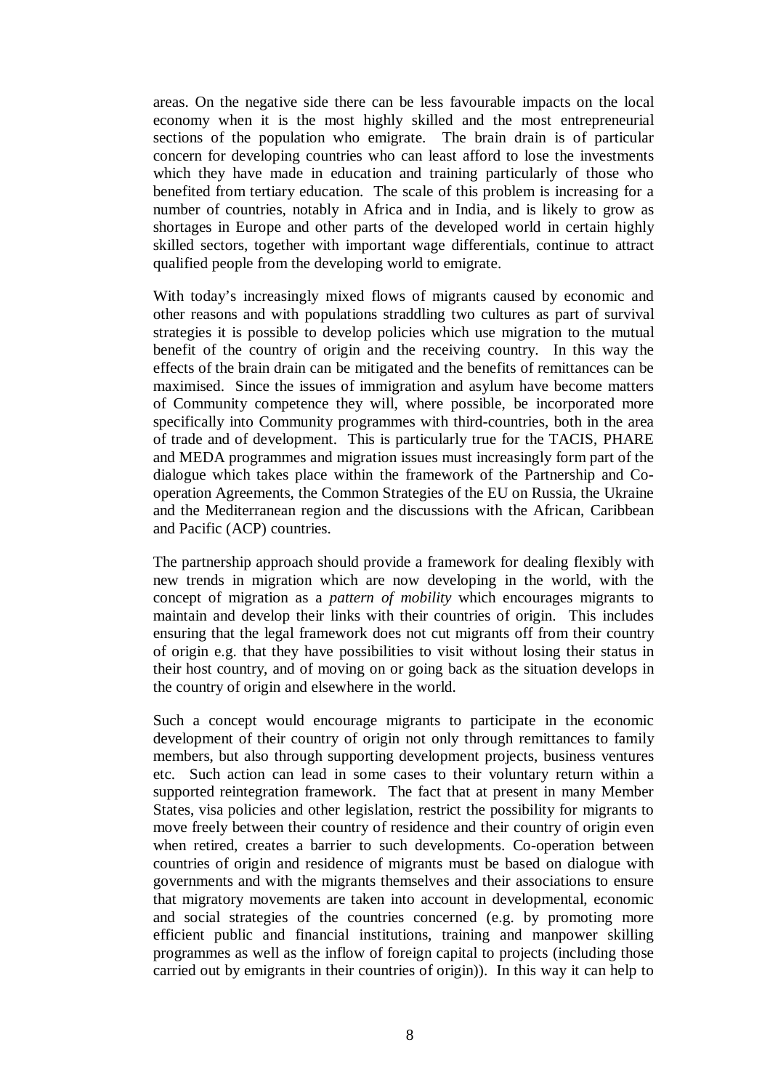areas. On the negative side there can be less favourable impacts on the local economy when it is the most highly skilled and the most entrepreneurial sections of the population who emigrate. The brain drain is of particular concern for developing countries who can least afford to lose the investments which they have made in education and training particularly of those who benefited from tertiary education. The scale of this problem is increasing for a number of countries, notably in Africa and in India, and is likely to grow as shortages in Europe and other parts of the developed world in certain highly skilled sectors, together with important wage differentials, continue to attract qualified people from the developing world to emigrate.

With today's increasingly mixed flows of migrants caused by economic and other reasons and with populations straddling two cultures as part of survival strategies it is possible to develop policies which use migration to the mutual benefit of the country of origin and the receiving country. In this way the effects of the brain drain can be mitigated and the benefits of remittances can be maximised. Since the issues of immigration and asylum have become matters of Community competence they will, where possible, be incorporated more specifically into Community programmes with third-countries, both in the area of trade and of development. This is particularly true for the TACIS, PHARE and MEDA programmes and migration issues must increasingly form part of the dialogue which takes place within the framework of the Partnership and Cooperation Agreements, the Common Strategies of the EU on Russia, the Ukraine and the Mediterranean region and the discussions with the African, Caribbean and Pacific (ACP) countries.

The partnership approach should provide a framework for dealing flexibly with new trends in migration which are now developing in the world, with the concept of migration as a *pattern of mobility* which encourages migrants to maintain and develop their links with their countries of origin. This includes ensuring that the legal framework does not cut migrants off from their country of origin e.g. that they have possibilities to visit without losing their status in their host country, and of moving on or going back as the situation develops in the country of origin and elsewhere in the world.

Such a concept would encourage migrants to participate in the economic development of their country of origin not only through remittances to family members, but also through supporting development projects, business ventures etc. Such action can lead in some cases to their voluntary return within a supported reintegration framework. The fact that at present in many Member States, visa policies and other legislation, restrict the possibility for migrants to move freely between their country of residence and their country of origin even when retired, creates a barrier to such developments. Co-operation between countries of origin and residence of migrants must be based on dialogue with governments and with the migrants themselves and their associations to ensure that migratory movements are taken into account in developmental, economic and social strategies of the countries concerned (e.g. by promoting more efficient public and financial institutions, training and manpower skilling programmes as well as the inflow of foreign capital to projects (including those carried out by emigrants in their countries of origin)). In this way it can help to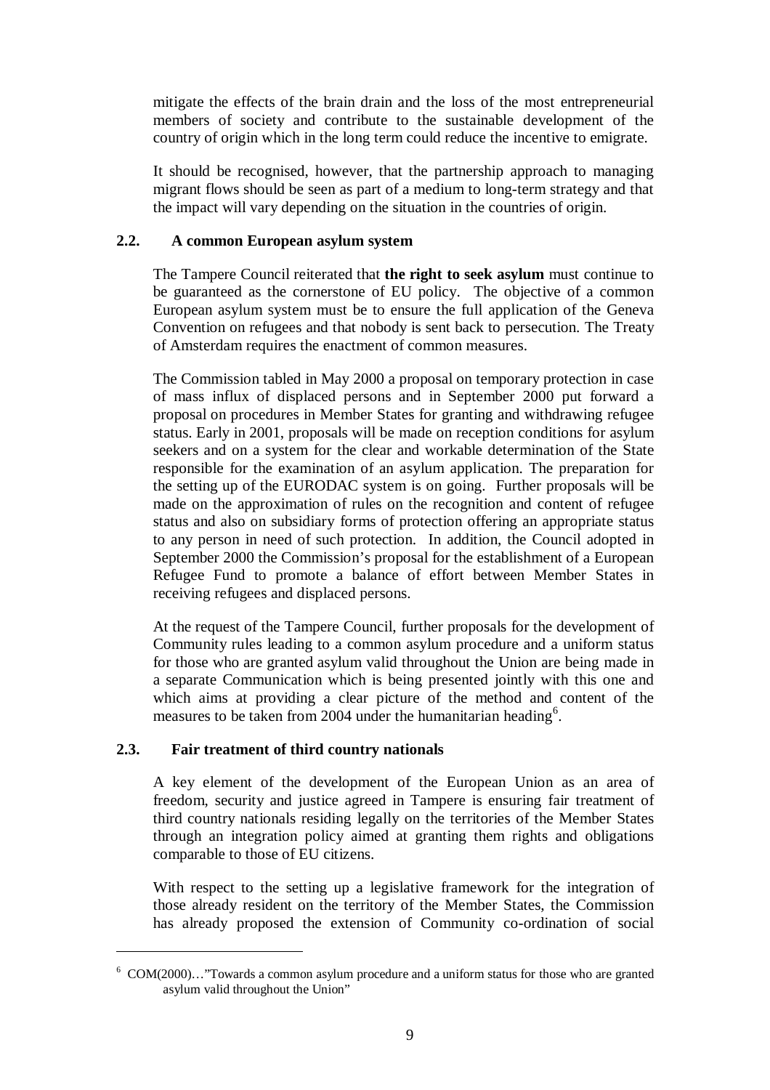mitigate the effects of the brain drain and the loss of the most entrepreneurial members of society and contribute to the sustainable development of the country of origin which in the long term could reduce the incentive to emigrate.

It should be recognised, however, that the partnership approach to managing migrant flows should be seen as part of a medium to long-term strategy and that the impact will vary depending on the situation in the countries of origin.

### **2.2. A common European asylum system**

The Tampere Council reiterated that **the right to seek asylum** must continue to be guaranteed as the cornerstone of EU policy. The objective of a common European asylum system must be to ensure the full application of the Geneva Convention on refugees and that nobody is sent back to persecution. The Treaty of Amsterdam requires the enactment of common measures.

The Commission tabled in May 2000 a proposal on temporary protection in case of mass influx of displaced persons and in September 2000 put forward a proposal on procedures in Member States for granting and withdrawing refugee status. Early in 2001, proposals will be made on reception conditions for asylum seekers and on a system for the clear and workable determination of the State responsible for the examination of an asylum application. The preparation for the setting up of the EURODAC system is on going. Further proposals will be made on the approximation of rules on the recognition and content of refugee status and also on subsidiary forms of protection offering an appropriate status to any person in need of such protection. In addition, the Council adopted in September 2000 the Commission's proposal for the establishment of a European Refugee Fund to promote a balance of effort between Member States in receiving refugees and displaced persons.

At the request of the Tampere Council, further proposals for the development of Community rules leading to a common asylum procedure and a uniform status for those who are granted asylum valid throughout the Union are being made in a separate Communication which is being presented jointly with this one and which aims at providing a clear picture of the method and content of the measures to be taken from 2004 under the humanitarian heading<sup>6</sup>.

### **2.3. Fair treatment of third country nationals**

A key element of the development of the European Union as an area of freedom, security and justice agreed in Tampere is ensuring fair treatment of third country nationals residing legally on the territories of the Member States through an integration policy aimed at granting them rights and obligations comparable to those of EU citizens.

With respect to the setting up a legislative framework for the integration of those already resident on the territory of the Member States, the Commission has already proposed the extension of Community co-ordination of social

<sup>6</sup> COM(2000)…"Towards a common asylum procedure and a uniform status for those who are granted asylum valid throughout the Union"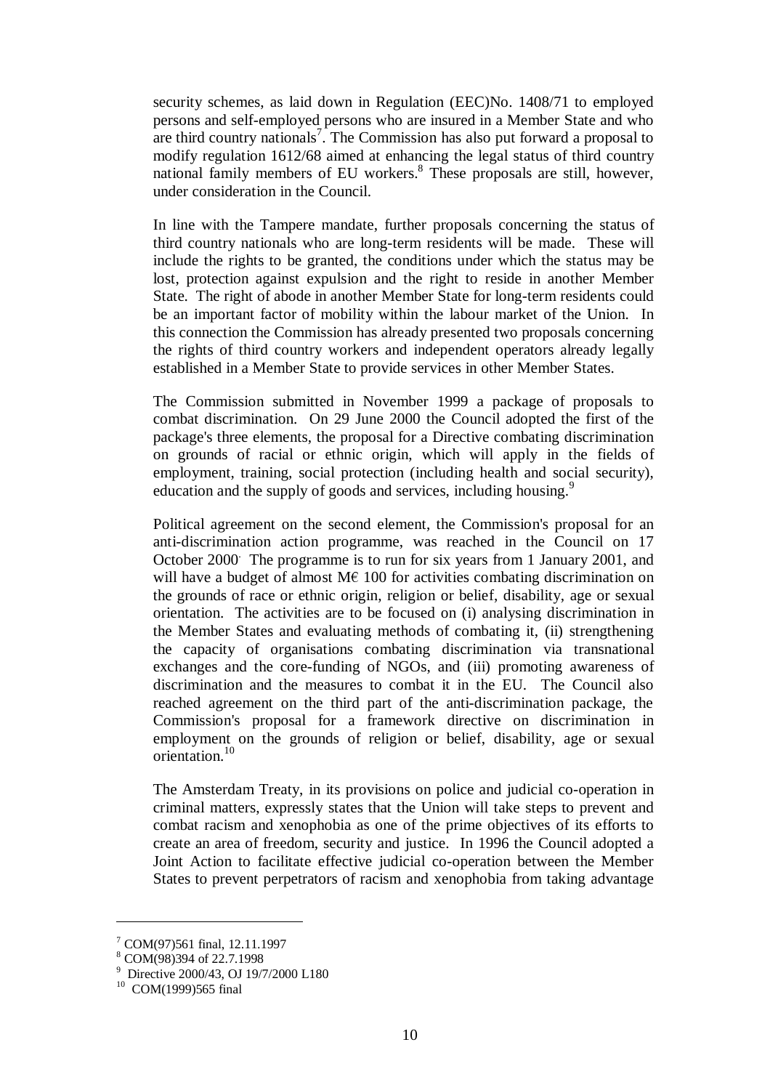security schemes, as laid down in Regulation (EEC)No. 1408/71 to employed persons and self-employed persons who are insured in a Member State and who are third country nationals<sup>7</sup>. The Commission has also put forward a proposal to modify regulation 1612/68 aimed at enhancing the legal status of third country national family members of EU workers. $8$  These proposals are still, however, under consideration in the Council.

In line with the Tampere mandate, further proposals concerning the status of third country nationals who are long-term residents will be made. These will include the rights to be granted, the conditions under which the status may be lost, protection against expulsion and the right to reside in another Member State. The right of abode in another Member State for long-term residents could be an important factor of mobility within the labour market of the Union. In this connection the Commission has already presented two proposals concerning the rights of third country workers and independent operators already legally established in a Member State to provide services in other Member States.

The Commission submitted in November 1999 a package of proposals to combat discrimination. On 29 June 2000 the Council adopted the first of the package's three elements, the proposal for a Directive combating discrimination on grounds of racial or ethnic origin, which will apply in the fields of employment, training, social protection (including health and social security), education and the supply of goods and services, including housing.<sup>9</sup>

Political agreement on the second element, the Commission's proposal for an anti-discrimination action programme, was reached in the Council on 17 October 2000. The programme is to run for six years from 1 January 2001, and will have a budget of almost  $M \in 100$  for activities combating discrimination on the grounds of race or ethnic origin, religion or belief, disability, age or sexual orientation. The activities are to be focused on (i) analysing discrimination in the Member States and evaluating methods of combating it, (ii) strengthening the capacity of organisations combating discrimination via transnational exchanges and the core-funding of NGOs, and (iii) promoting awareness of discrimination and the measures to combat it in the EU. The Council also reached agreement on the third part of the anti-discrimination package, the Commission's proposal for a framework directive on discrimination in employment on the grounds of religion or belief, disability, age or sexual orientation.<sup>10</sup>

The Amsterdam Treaty, in its provisions on police and judicial co-operation in criminal matters, expressly states that the Union will take steps to prevent and combat racism and xenophobia as one of the prime objectives of its efforts to create an area of freedom, security and justice. In 1996 the Council adopted a Joint Action to facilitate effective judicial co-operation between the Member States to prevent perpetrators of racism and xenophobia from taking advantage

<sup>7</sup> COM(97)561 final, 12.11.1997

<sup>8</sup> COM(98)394 of 22.7.1998

<sup>&</sup>lt;sup>9</sup> Directive 2000/43, OJ 19/7/2000 L180<br><sup>10</sup> COM(1999)565 final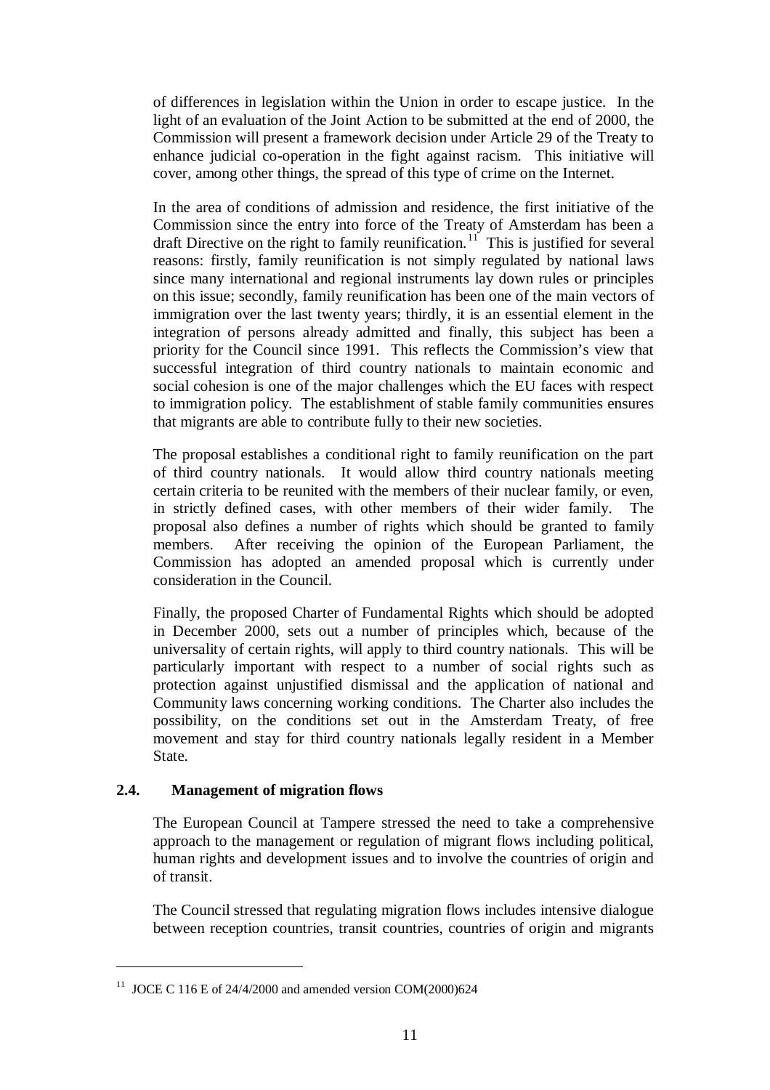of differences in legislation within the Union in order to escape justice. In the light of an evaluation of the Joint Action to be submitted at the end of 2000, the Commission will present a framework decision under Article 29 of the Treaty to enhance judicial co-operation in the fight against racism. This initiative will cover, among other things, the spread of this type of crime on the Internet.

In the area of conditions of admission and residence, the first initiative of the Commission since the entry into force of the Treaty of Amsterdam has been a draft Directive on the right to family reunification.<sup>11</sup> This is justified for several reasons: firstly, family reunification is not simply regulated by national laws since many international and regional instruments lay down rules or principles on this issue; secondly, family reunification has been one of the main vectors of immigration over the last twenty years; thirdly, it is an essential element in the integration of persons already admitted and finally, this subject has been a priority for the Council since 1991. This reflects the Commission's view that successful integration of third country nationals to maintain economic and social cohesion is one of the major challenges which the EU faces with respect to immigration policy. The establishment of stable family communities ensures that migrants are able to contribute fully to their new societies.

The proposal establishes a conditional right to family reunification on the part of third country nationals. It would allow third country nationals meeting certain criteria to be reunited with the members of their nuclear family, or even, in strictly defined cases, with other members of their wider family. The proposal also defines a number of rights which should be granted to family members. After receiving the opinion of the European Parliament, the Commission has adopted an amended proposal which is currently under consideration in the Council.

Finally, the proposed Charter of Fundamental Rights which should be adopted in December 2000, sets out a number of principles which, because of the universality of certain rights, will apply to third country nationals. This will be particularly important with respect to a number of social rights such as protection against unjustified dismissal and the application of national and Community laws concerning working conditions. The Charter also includes the possibility, on the conditions set out in the Amsterdam Treaty, of free movement and stay for third country nationals legally resident in a Member State.

# **2.4. Management of migration flows**

The European Council at Tampere stressed the need to take a comprehensive approach to the management or regulation of migrant flows including political, human rights and development issues and to involve the countries of origin and of transit.

The Council stressed that regulating migration flows includes intensive dialogue between reception countries, transit countries, countries of origin and migrants

<sup>&</sup>lt;sup>11</sup> JOCE C 116 E of 24/4/2000 and amended version COM(2000)624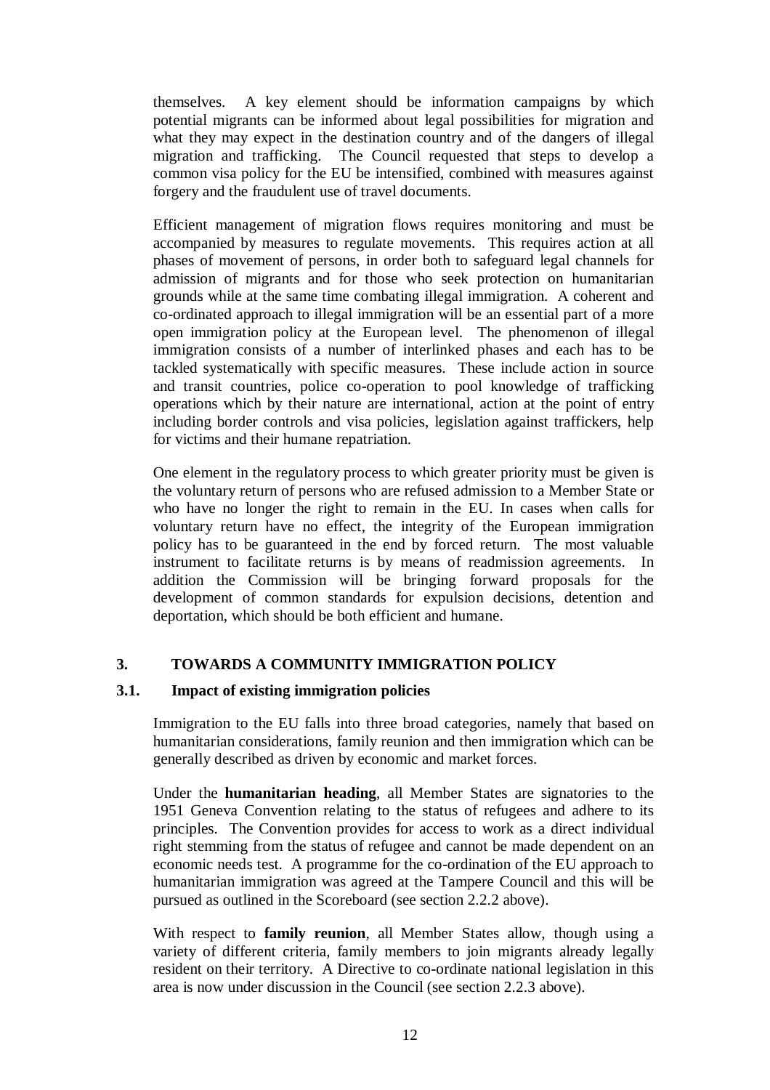themselves. A key element should be information campaigns by which potential migrants can be informed about legal possibilities for migration and what they may expect in the destination country and of the dangers of illegal migration and trafficking. The Council requested that steps to develop a common visa policy for the EU be intensified, combined with measures against forgery and the fraudulent use of travel documents.

Efficient management of migration flows requires monitoring and must be accompanied by measures to regulate movements. This requires action at all phases of movement of persons, in order both to safeguard legal channels for admission of migrants and for those who seek protection on humanitarian grounds while at the same time combating illegal immigration. A coherent and co-ordinated approach to illegal immigration will be an essential part of a more open immigration policy at the European level. The phenomenon of illegal immigration consists of a number of interlinked phases and each has to be tackled systematically with specific measures. These include action in source and transit countries, police co-operation to pool knowledge of trafficking operations which by their nature are international, action at the point of entry including border controls and visa policies, legislation against traffickers, help for victims and their humane repatriation.

One element in the regulatory process to which greater priority must be given is the voluntary return of persons who are refused admission to a Member State or who have no longer the right to remain in the EU. In cases when calls for voluntary return have no effect, the integrity of the European immigration policy has to be guaranteed in the end by forced return. The most valuable instrument to facilitate returns is by means of readmission agreements. In addition the Commission will be bringing forward proposals for the development of common standards for expulsion decisions, detention and deportation, which should be both efficient and humane.

# **3. TOWARDS A COMMUNITY IMMIGRATION POLICY**

# **3.1. Impact of existing immigration policies**

Immigration to the EU falls into three broad categories, namely that based on humanitarian considerations, family reunion and then immigration which can be generally described as driven by economic and market forces.

Under the **humanitarian heading**, all Member States are signatories to the 1951 Geneva Convention relating to the status of refugees and adhere to its principles. The Convention provides for access to work as a direct individual right stemming from the status of refugee and cannot be made dependent on an economic needs test. A programme for the co-ordination of the EU approach to humanitarian immigration was agreed at the Tampere Council and this will be pursued as outlined in the Scoreboard (see section 2.2.2 above).

With respect to **family reunion**, all Member States allow, though using a variety of different criteria, family members to join migrants already legally resident on their territory. A Directive to co-ordinate national legislation in this area is now under discussion in the Council (see section 2.2.3 above).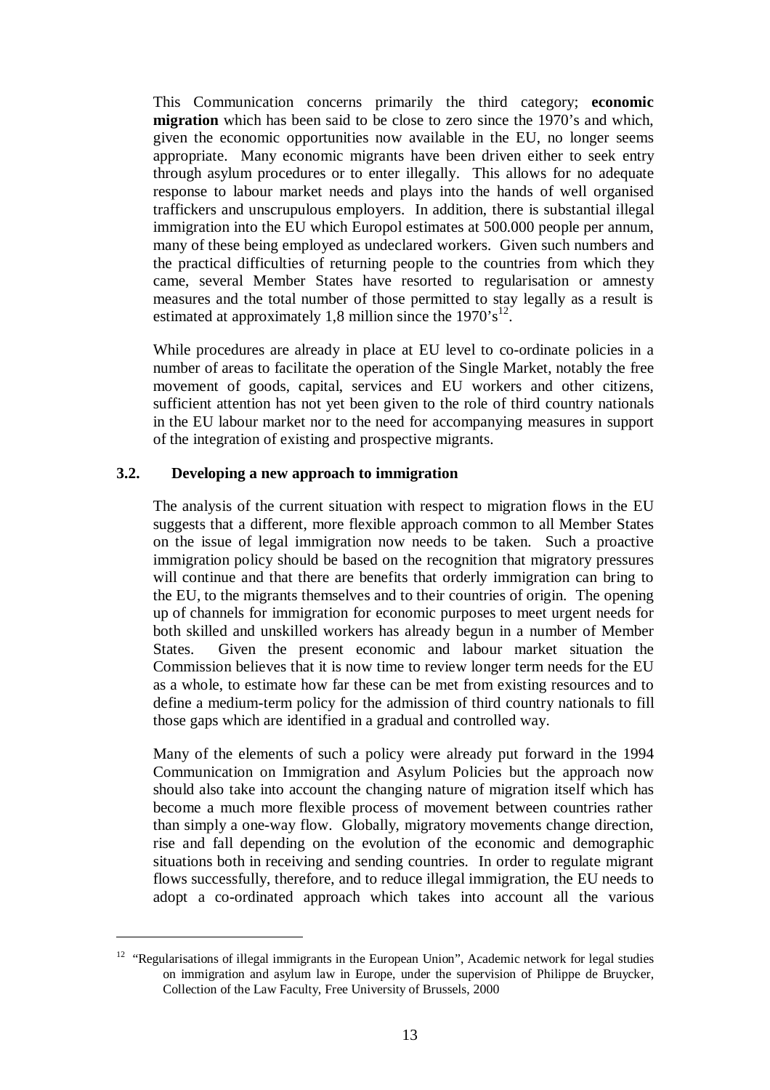This Communication concerns primarily the third category; **economic migration** which has been said to be close to zero since the 1970's and which, given the economic opportunities now available in the EU, no longer seems appropriate. Many economic migrants have been driven either to seek entry through asylum procedures or to enter illegally. This allows for no adequate response to labour market needs and plays into the hands of well organised traffickers and unscrupulous employers. In addition, there is substantial illegal immigration into the EU which Europol estimates at 500.000 people per annum, many of these being employed as undeclared workers. Given such numbers and the practical difficulties of returning people to the countries from which they came, several Member States have resorted to regularisation or amnesty measures and the total number of those permitted to stay legally as a result is estimated at approximately 1,8 million since the  $1970 \text{°s}^{12}$ .

While procedures are already in place at EU level to co-ordinate policies in a number of areas to facilitate the operation of the Single Market, notably the free movement of goods, capital, services and EU workers and other citizens, sufficient attention has not yet been given to the role of third country nationals in the EU labour market nor to the need for accompanying measures in support of the integration of existing and prospective migrants.

### **3.2. Developing a new approach to immigration**

The analysis of the current situation with respect to migration flows in the EU suggests that a different, more flexible approach common to all Member States on the issue of legal immigration now needs to be taken. Such a proactive immigration policy should be based on the recognition that migratory pressures will continue and that there are benefits that orderly immigration can bring to the EU, to the migrants themselves and to their countries of origin. The opening up of channels for immigration for economic purposes to meet urgent needs for both skilled and unskilled workers has already begun in a number of Member States. Given the present economic and labour market situation the Commission believes that it is now time to review longer term needs for the EU as a whole, to estimate how far these can be met from existing resources and to define a medium-term policy for the admission of third country nationals to fill those gaps which are identified in a gradual and controlled way.

Many of the elements of such a policy were already put forward in the 1994 Communication on Immigration and Asylum Policies but the approach now should also take into account the changing nature of migration itself which has become a much more flexible process of movement between countries rather than simply a one-way flow. Globally, migratory movements change direction, rise and fall depending on the evolution of the economic and demographic situations both in receiving and sending countries. In order to regulate migrant flows successfully, therefore, and to reduce illegal immigration, the EU needs to adopt a co-ordinated approach which takes into account all the various

<sup>&</sup>lt;sup>12</sup> "Regularisations of illegal immigrants in the European Union", Academic network for legal studies on immigration and asylum law in Europe, under the supervision of Philippe de Bruycker, Collection of the Law Faculty, Free University of Brussels, 2000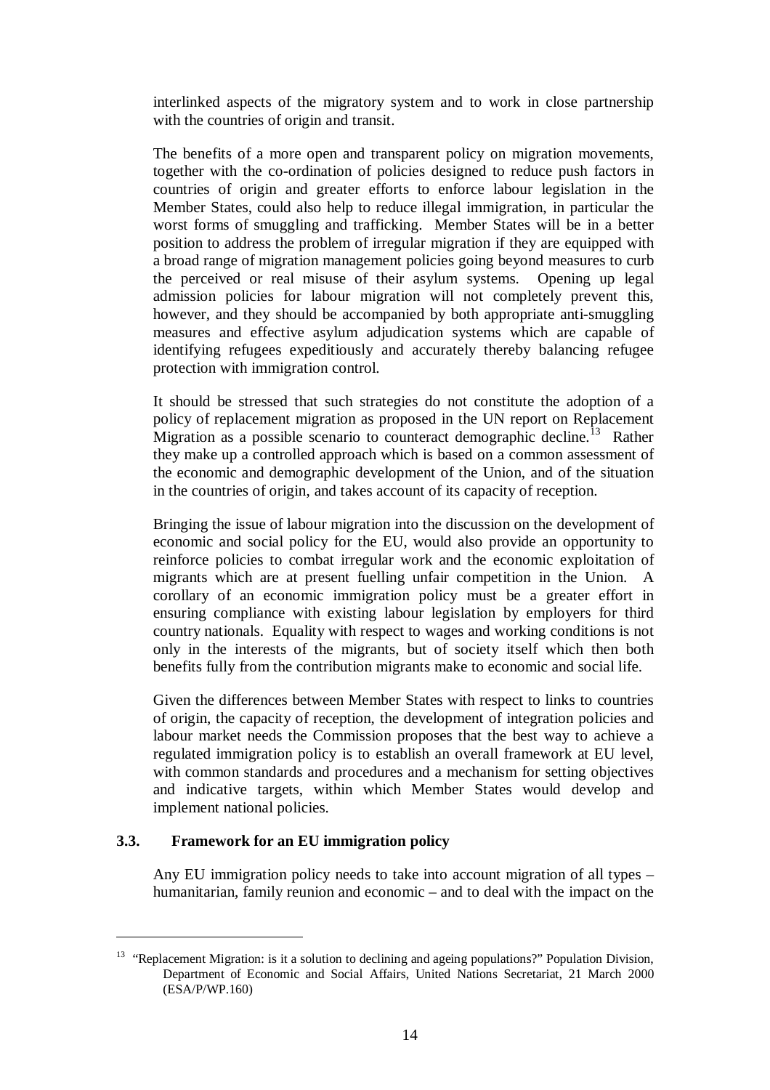interlinked aspects of the migratory system and to work in close partnership with the countries of origin and transit.

The benefits of a more open and transparent policy on migration movements, together with the co-ordination of policies designed to reduce push factors in countries of origin and greater efforts to enforce labour legislation in the Member States, could also help to reduce illegal immigration, in particular the worst forms of smuggling and trafficking. Member States will be in a better position to address the problem of irregular migration if they are equipped with a broad range of migration management policies going beyond measures to curb the perceived or real misuse of their asylum systems. Opening up legal admission policies for labour migration will not completely prevent this, however, and they should be accompanied by both appropriate anti-smuggling measures and effective asylum adjudication systems which are capable of identifying refugees expeditiously and accurately thereby balancing refugee protection with immigration control.

It should be stressed that such strategies do not constitute the adoption of a policy of replacement migration as proposed in the UN report on Replacement Migration as a possible scenario to counteract demographic decline.<sup>13</sup> Rather they make up a controlled approach which is based on a common assessment of the economic and demographic development of the Union, and of the situation in the countries of origin, and takes account of its capacity of reception.

Bringing the issue of labour migration into the discussion on the development of economic and social policy for the EU, would also provide an opportunity to reinforce policies to combat irregular work and the economic exploitation of migrants which are at present fuelling unfair competition in the Union. A corollary of an economic immigration policy must be a greater effort in ensuring compliance with existing labour legislation by employers for third country nationals. Equality with respect to wages and working conditions is not only in the interests of the migrants, but of society itself which then both benefits fully from the contribution migrants make to economic and social life.

Given the differences between Member States with respect to links to countries of origin, the capacity of reception, the development of integration policies and labour market needs the Commission proposes that the best way to achieve a regulated immigration policy is to establish an overall framework at EU level, with common standards and procedures and a mechanism for setting objectives and indicative targets, within which Member States would develop and implement national policies.

### **3.3. Framework for an EU immigration policy**

Any EU immigration policy needs to take into account migration of all types – humanitarian, family reunion and economic – and to deal with the impact on the

<sup>&</sup>lt;sup>13</sup> "Replacement Migration: is it a solution to declining and ageing populations?" Population Division, Department of Economic and Social Affairs, United Nations Secretariat, 21 March 2000 (ESA/P/WP.160)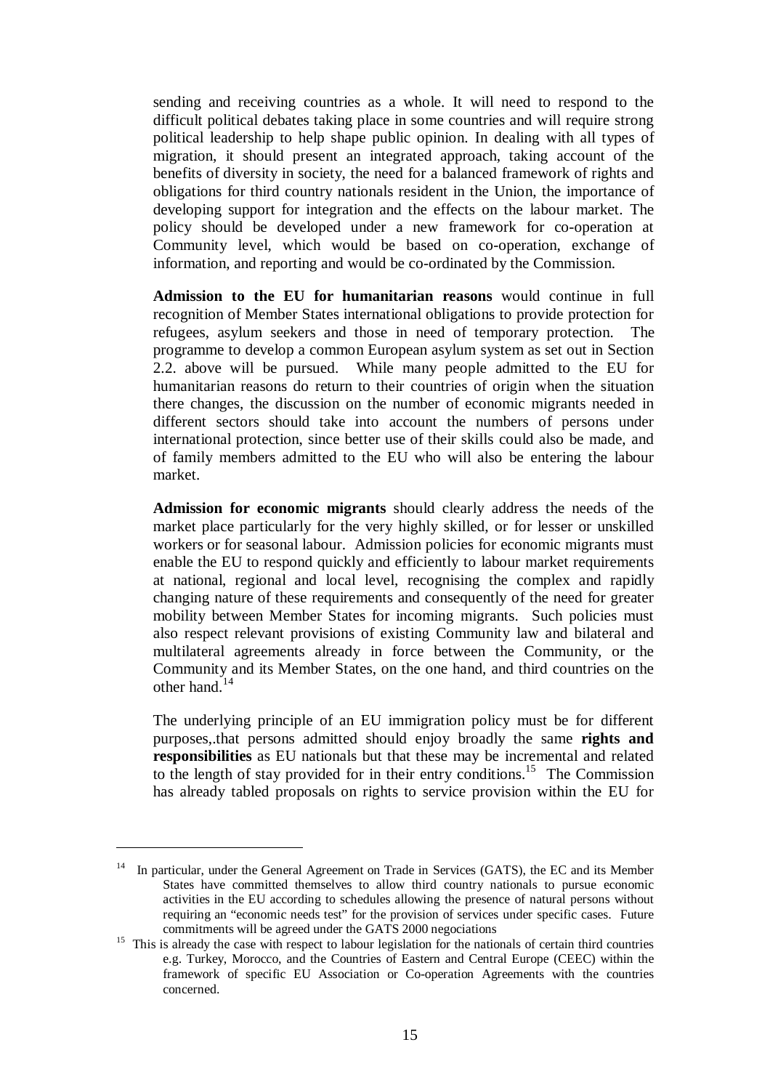sending and receiving countries as a whole. It will need to respond to the difficult political debates taking place in some countries and will require strong political leadership to help shape public opinion. In dealing with all types of migration, it should present an integrated approach, taking account of the benefits of diversity in society, the need for a balanced framework of rights and obligations for third country nationals resident in the Union, the importance of developing support for integration and the effects on the labour market. The policy should be developed under a new framework for co-operation at Community level, which would be based on co-operation, exchange of information, and reporting and would be co-ordinated by the Commission.

**Admission to the EU for humanitarian reasons** would continue in full recognition of Member States international obligations to provide protection for refugees, asylum seekers and those in need of temporary protection. The programme to develop a common European asylum system as set out in Section 2.2. above will be pursued. While many people admitted to the EU for humanitarian reasons do return to their countries of origin when the situation there changes, the discussion on the number of economic migrants needed in different sectors should take into account the numbers of persons under international protection, since better use of their skills could also be made, and of family members admitted to the EU who will also be entering the labour market.

**Admission for economic migrants** should clearly address the needs of the market place particularly for the very highly skilled, or for lesser or unskilled workers or for seasonal labour. Admission policies for economic migrants must enable the EU to respond quickly and efficiently to labour market requirements at national, regional and local level, recognising the complex and rapidly changing nature of these requirements and consequently of the need for greater mobility between Member States for incoming migrants. Such policies must also respect relevant provisions of existing Community law and bilateral and multilateral agreements already in force between the Community, or the Community and its Member States, on the one hand, and third countries on the other hand.<sup>14</sup>

The underlying principle of an EU immigration policy must be for different purposes,.that persons admitted should enjoy broadly the same **rights and responsibilities** as EU nationals but that these may be incremental and related to the length of stay provided for in their entry conditions.<sup>15</sup> The Commission has already tabled proposals on rights to service provision within the EU for

In particular, under the General Agreement on Trade in Services (GATS), the EC and its Member States have committed themselves to allow third country nationals to pursue economic activities in the EU according to schedules allowing the presence of natural persons without requiring an "economic needs test" for the provision of services under specific cases. Future

commitments will be agreed under the GATS 2000 negociations <sup>15</sup> This is already the case with respect to labour legislation for the nationals of certain third countries e.g. Turkey, Morocco, and the Countries of Eastern and Central Europe (CEEC) within the framework of specific EU Association or Co-operation Agreements with the countries concerned.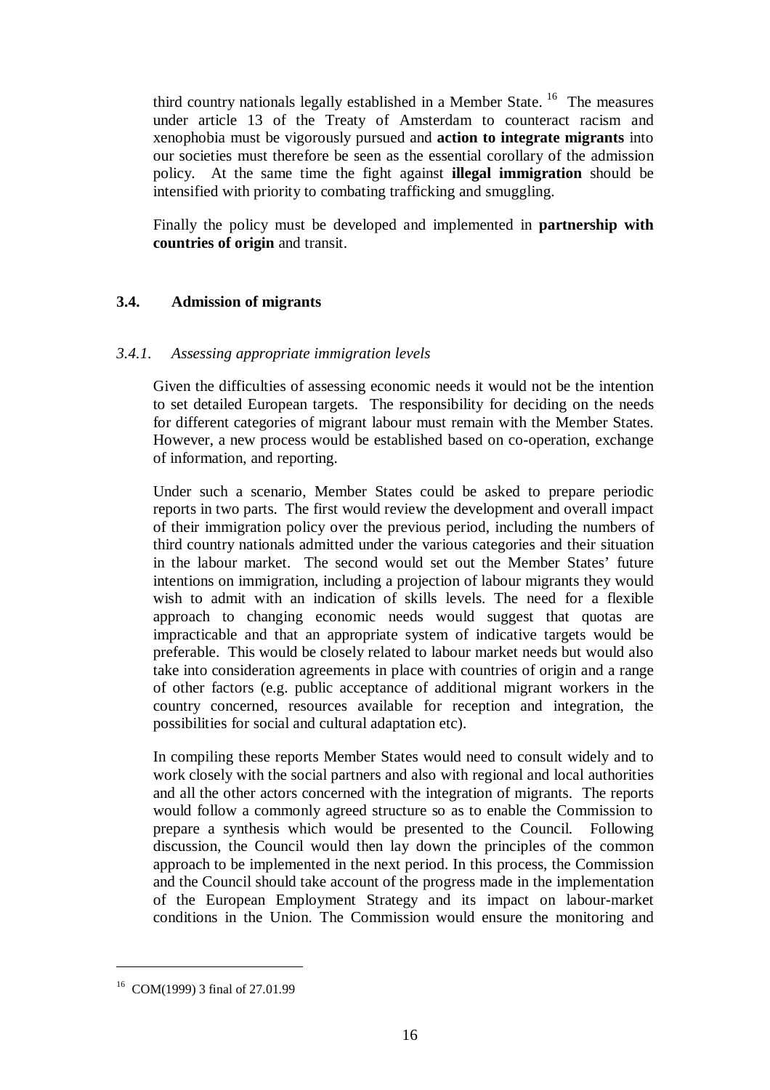third country nationals legally established in a Member State.  $16$  The measures under article 13 of the Treaty of Amsterdam to counteract racism and xenophobia must be vigorously pursued and **action to integrate migrants** into our societies must therefore be seen as the essential corollary of the admission policy. At the same time the fight against **illegal immigration** should be intensified with priority to combating trafficking and smuggling.

Finally the policy must be developed and implemented in **partnership with countries of origin** and transit.

# **3.4. Admission of migrants**

### *3.4.1. Assessing appropriate immigration levels*

Given the difficulties of assessing economic needs it would not be the intention to set detailed European targets. The responsibility for deciding on the needs for different categories of migrant labour must remain with the Member States. However, a new process would be established based on co-operation, exchange of information, and reporting.

Under such a scenario, Member States could be asked to prepare periodic reports in two parts. The first would review the development and overall impact of their immigration policy over the previous period, including the numbers of third country nationals admitted under the various categories and their situation in the labour market. The second would set out the Member States' future intentions on immigration, including a projection of labour migrants they would wish to admit with an indication of skills levels. The need for a flexible approach to changing economic needs would suggest that quotas are impracticable and that an appropriate system of indicative targets would be preferable. This would be closely related to labour market needs but would also take into consideration agreements in place with countries of origin and a range of other factors (e.g. public acceptance of additional migrant workers in the country concerned, resources available for reception and integration, the possibilities for social and cultural adaptation etc).

In compiling these reports Member States would need to consult widely and to work closely with the social partners and also with regional and local authorities and all the other actors concerned with the integration of migrants. The reports would follow a commonly agreed structure so as to enable the Commission to prepare a synthesis which would be presented to the Council. Following discussion, the Council would then lay down the principles of the common approach to be implemented in the next period. In this process, the Commission and the Council should take account of the progress made in the implementation of the European Employment Strategy and its impact on labour-market conditions in the Union. The Commission would ensure the monitoring and

<sup>16</sup> COM(1999) 3 final of 27.01.99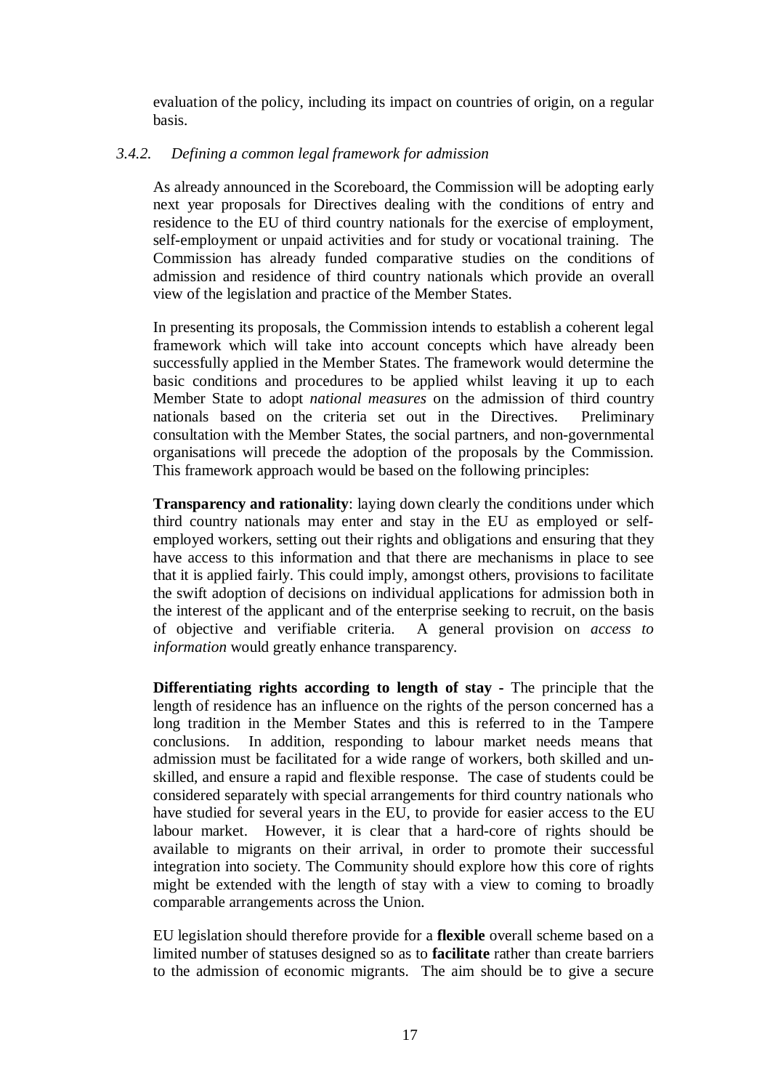evaluation of the policy, including its impact on countries of origin, on a regular basis.

### *3.4.2. Defining a common legal framework for admission*

As already announced in the Scoreboard, the Commission will be adopting early next year proposals for Directives dealing with the conditions of entry and residence to the EU of third country nationals for the exercise of employment, self-employment or unpaid activities and for study or vocational training. The Commission has already funded comparative studies on the conditions of admission and residence of third country nationals which provide an overall view of the legislation and practice of the Member States.

In presenting its proposals, the Commission intends to establish a coherent legal framework which will take into account concepts which have already been successfully applied in the Member States. The framework would determine the basic conditions and procedures to be applied whilst leaving it up to each Member State to adopt *national measures* on the admission of third country nationals based on the criteria set out in the Directives. Preliminary consultation with the Member States, the social partners, and non-governmental organisations will precede the adoption of the proposals by the Commission. This framework approach would be based on the following principles:

**Transparency and rationality:** laying down clearly the conditions under which third country nationals may enter and stay in the EU as employed or selfemployed workers, setting out their rights and obligations and ensuring that they have access to this information and that there are mechanisms in place to see that it is applied fairly. This could imply, amongst others, provisions to facilitate the swift adoption of decisions on individual applications for admission both in the interest of the applicant and of the enterprise seeking to recruit, on the basis of objective and verifiable criteria. A general provision on *access to information* would greatly enhance transparency.

**Differentiating rights according to length of stay -** The principle that the length of residence has an influence on the rights of the person concerned has a long tradition in the Member States and this is referred to in the Tampere conclusions. In addition, responding to labour market needs means that admission must be facilitated for a wide range of workers, both skilled and unskilled, and ensure a rapid and flexible response. The case of students could be considered separately with special arrangements for third country nationals who have studied for several years in the EU, to provide for easier access to the EU labour market. However, it is clear that a hard-core of rights should be available to migrants on their arrival, in order to promote their successful integration into society. The Community should explore how this core of rights might be extended with the length of stay with a view to coming to broadly comparable arrangements across the Union.

EU legislation should therefore provide for a **flexible** overall scheme based on a limited number of statuses designed so as to **facilitate** rather than create barriers to the admission of economic migrants. The aim should be to give a secure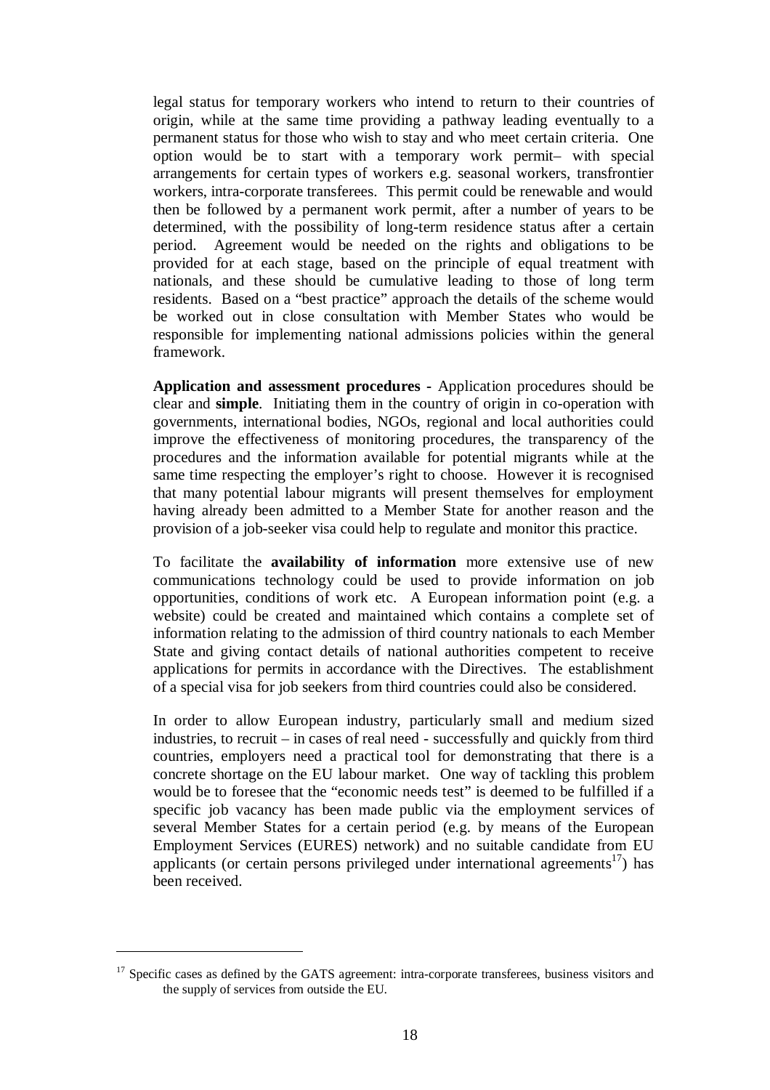legal status for temporary workers who intend to return to their countries of origin, while at the same time providing a pathway leading eventually to a permanent status for those who wish to stay and who meet certain criteria. One option would be to start with a temporary work permit– with special arrangements for certain types of workers e.g. seasonal workers, transfrontier workers, intra-corporate transferees. This permit could be renewable and would then be followed by a permanent work permit, after a number of years to be determined, with the possibility of long-term residence status after a certain period. Agreement would be needed on the rights and obligations to be provided for at each stage, based on the principle of equal treatment with nationals, and these should be cumulative leading to those of long term residents. Based on a "best practice" approach the details of the scheme would be worked out in close consultation with Member States who would be responsible for implementing national admissions policies within the general framework.

**Application and assessment procedures -** Application procedures should be clear and **simple**. Initiating them in the country of origin in co-operation with governments, international bodies, NGOs, regional and local authorities could improve the effectiveness of monitoring procedures, the transparency of the procedures and the information available for potential migrants while at the same time respecting the employer's right to choose. However it is recognised that many potential labour migrants will present themselves for employment having already been admitted to a Member State for another reason and the provision of a job-seeker visa could help to regulate and monitor this practice.

To facilitate the **availability of information** more extensive use of new communications technology could be used to provide information on job opportunities, conditions of work etc. A European information point (e.g. a website) could be created and maintained which contains a complete set of information relating to the admission of third country nationals to each Member State and giving contact details of national authorities competent to receive applications for permits in accordance with the Directives. The establishment of a special visa for job seekers from third countries could also be considered.

In order to allow European industry, particularly small and medium sized industries, to recruit – in cases of real need - successfully and quickly from third countries, employers need a practical tool for demonstrating that there is a concrete shortage on the EU labour market. One way of tackling this problem would be to foresee that the "economic needs test" is deemed to be fulfilled if a specific job vacancy has been made public via the employment services of several Member States for a certain period (e.g. by means of the European Employment Services (EURES) network) and no suitable candidate from EU applicants (or certain persons privileged under international agreements<sup>17</sup>) has been received.

<sup>&</sup>lt;sup>17</sup> Specific cases as defined by the GATS agreement: intra-corporate transferees, business visitors and the supply of services from outside the EU.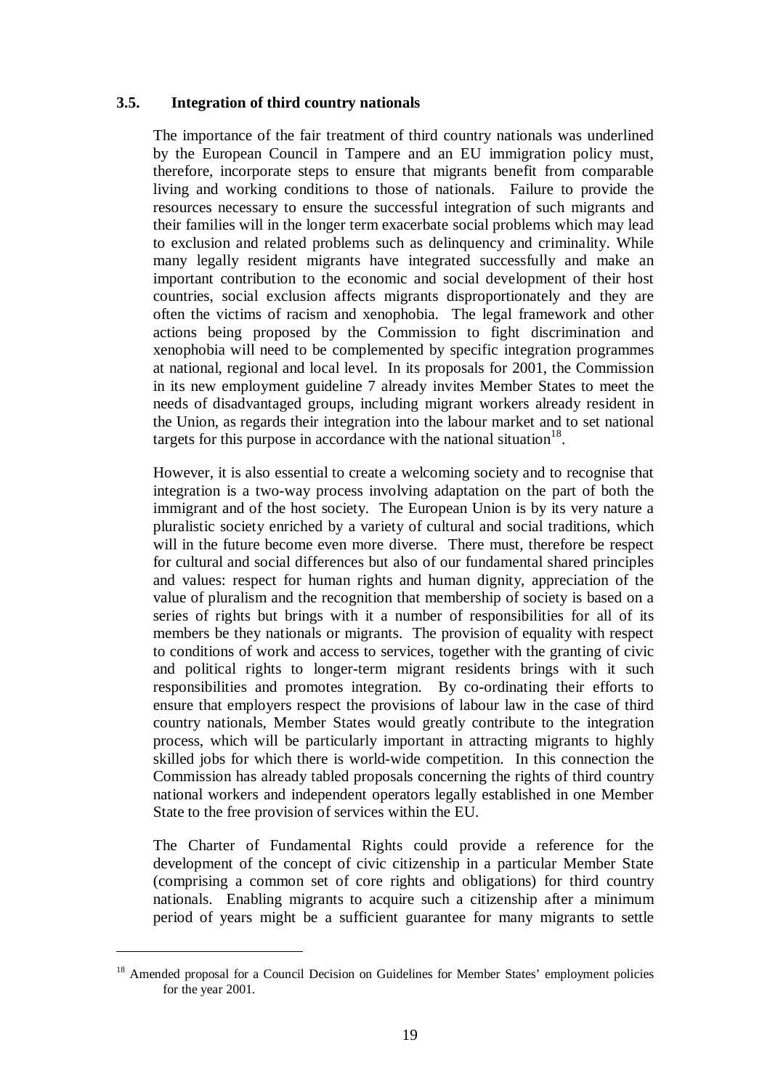### **3.5. Integration of third country nationals**

The importance of the fair treatment of third country nationals was underlined by the European Council in Tampere and an EU immigration policy must, therefore, incorporate steps to ensure that migrants benefit from comparable living and working conditions to those of nationals. Failure to provide the resources necessary to ensure the successful integration of such migrants and their families will in the longer term exacerbate social problems which may lead to exclusion and related problems such as delinquency and criminality. While many legally resident migrants have integrated successfully and make an important contribution to the economic and social development of their host countries, social exclusion affects migrants disproportionately and they are often the victims of racism and xenophobia. The legal framework and other actions being proposed by the Commission to fight discrimination and xenophobia will need to be complemented by specific integration programmes at national, regional and local level. In its proposals for 2001, the Commission in its new employment guideline 7 already invites Member States to meet the needs of disadvantaged groups, including migrant workers already resident in the Union, as regards their integration into the labour market and to set national targets for this purpose in accordance with the national situation<sup>18</sup>.

However, it is also essential to create a welcoming society and to recognise that integration is a two-way process involving adaptation on the part of both the immigrant and of the host society. The European Union is by its very nature a pluralistic society enriched by a variety of cultural and social traditions, which will in the future become even more diverse. There must, therefore be respect for cultural and social differences but also of our fundamental shared principles and values: respect for human rights and human dignity, appreciation of the value of pluralism and the recognition that membership of society is based on a series of rights but brings with it a number of responsibilities for all of its members be they nationals or migrants. The provision of equality with respect to conditions of work and access to services, together with the granting of civic and political rights to longer-term migrant residents brings with it such responsibilities and promotes integration. By co-ordinating their efforts to ensure that employers respect the provisions of labour law in the case of third country nationals, Member States would greatly contribute to the integration process, which will be particularly important in attracting migrants to highly skilled jobs for which there is world-wide competition. In this connection the Commission has already tabled proposals concerning the rights of third country national workers and independent operators legally established in one Member State to the free provision of services within the EU.

The Charter of Fundamental Rights could provide a reference for the development of the concept of civic citizenship in a particular Member State (comprising a common set of core rights and obligations) for third country nationals. Enabling migrants to acquire such a citizenship after a minimum period of years might be a sufficient guarantee for many migrants to settle

<sup>&</sup>lt;sup>18</sup> Amended proposal for a Council Decision on Guidelines for Member States' employment policies for the year 2001.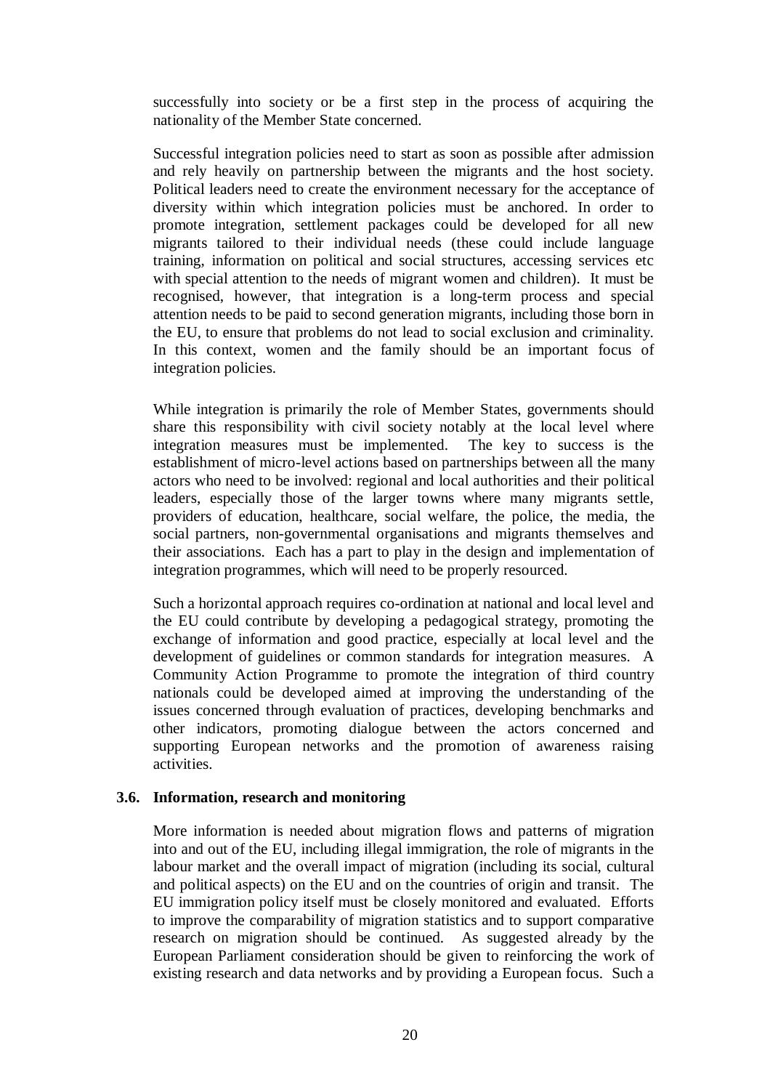successfully into society or be a first step in the process of acquiring the nationality of the Member State concerned.

Successful integration policies need to start as soon as possible after admission and rely heavily on partnership between the migrants and the host society. Political leaders need to create the environment necessary for the acceptance of diversity within which integration policies must be anchored. In order to promote integration, settlement packages could be developed for all new migrants tailored to their individual needs (these could include language training, information on political and social structures, accessing services etc with special attention to the needs of migrant women and children). It must be recognised, however, that integration is a long-term process and special attention needs to be paid to second generation migrants, including those born in the EU, to ensure that problems do not lead to social exclusion and criminality. In this context, women and the family should be an important focus of integration policies.

While integration is primarily the role of Member States, governments should share this responsibility with civil society notably at the local level where integration measures must be implemented. The key to success is the establishment of micro-level actions based on partnerships between all the many actors who need to be involved: regional and local authorities and their political leaders, especially those of the larger towns where many migrants settle, providers of education, healthcare, social welfare, the police, the media, the social partners, non-governmental organisations and migrants themselves and their associations. Each has a part to play in the design and implementation of integration programmes, which will need to be properly resourced.

Such a horizontal approach requires co-ordination at national and local level and the EU could contribute by developing a pedagogical strategy, promoting the exchange of information and good practice, especially at local level and the development of guidelines or common standards for integration measures. A Community Action Programme to promote the integration of third country nationals could be developed aimed at improving the understanding of the issues concerned through evaluation of practices, developing benchmarks and other indicators, promoting dialogue between the actors concerned and supporting European networks and the promotion of awareness raising activities.

### **3.6. Information, research and monitoring**

More information is needed about migration flows and patterns of migration into and out of the EU, including illegal immigration, the role of migrants in the labour market and the overall impact of migration (including its social, cultural and political aspects) on the EU and on the countries of origin and transit. The EU immigration policy itself must be closely monitored and evaluated. Efforts to improve the comparability of migration statistics and to support comparative research on migration should be continued. As suggested already by the European Parliament consideration should be given to reinforcing the work of existing research and data networks and by providing a European focus. Such a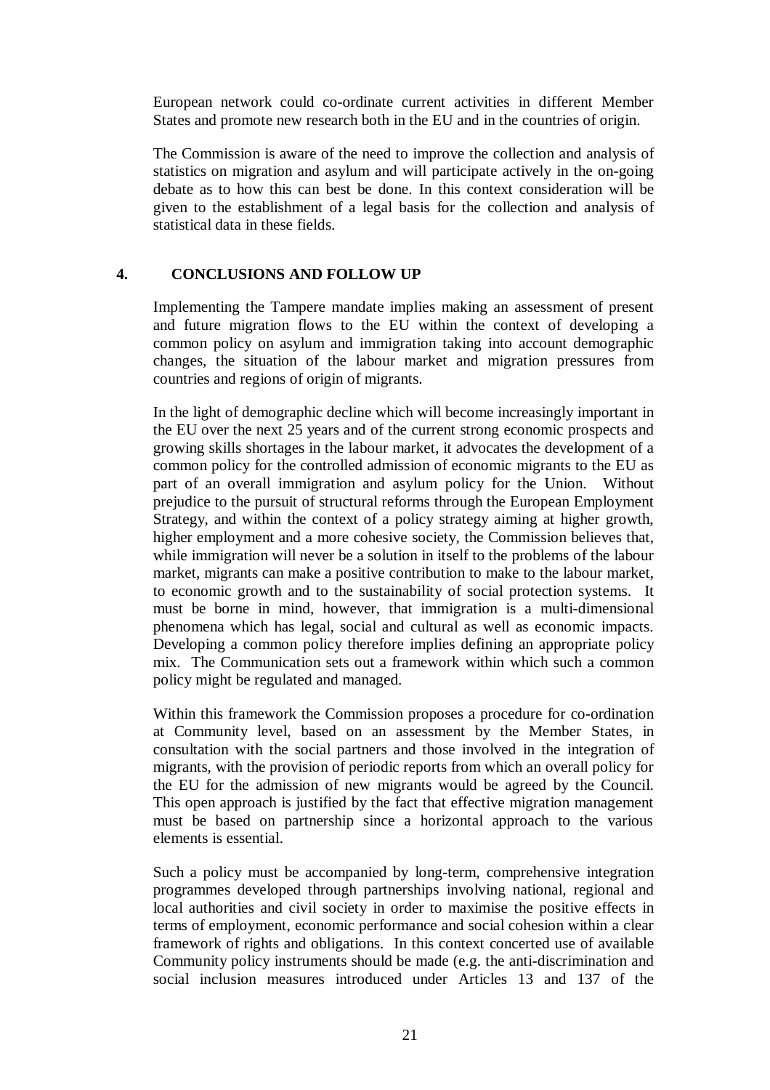European network could co-ordinate current activities in different Member States and promote new research both in the EU and in the countries of origin.

The Commission is aware of the need to improve the collection and analysis of statistics on migration and asylum and will participate actively in the on-going debate as to how this can best be done. In this context consideration will be given to the establishment of a legal basis for the collection and analysis of statistical data in these fields.

### **4. CONCLUSIONS AND FOLLOW UP**

Implementing the Tampere mandate implies making an assessment of present and future migration flows to the EU within the context of developing a common policy on asylum and immigration taking into account demographic changes, the situation of the labour market and migration pressures from countries and regions of origin of migrants.

In the light of demographic decline which will become increasingly important in the EU over the next 25 years and of the current strong economic prospects and growing skills shortages in the labour market, it advocates the development of a common policy for the controlled admission of economic migrants to the EU as part of an overall immigration and asylum policy for the Union. Without prejudice to the pursuit of structural reforms through the European Employment Strategy, and within the context of a policy strategy aiming at higher growth, higher employment and a more cohesive society, the Commission believes that, while immigration will never be a solution in itself to the problems of the labour market, migrants can make a positive contribution to make to the labour market, to economic growth and to the sustainability of social protection systems. It must be borne in mind, however, that immigration is a multi-dimensional phenomena which has legal, social and cultural as well as economic impacts. Developing a common policy therefore implies defining an appropriate policy mix. The Communication sets out a framework within which such a common policy might be regulated and managed.

Within this framework the Commission proposes a procedure for co-ordination at Community level, based on an assessment by the Member States, in consultation with the social partners and those involved in the integration of migrants, with the provision of periodic reports from which an overall policy for the EU for the admission of new migrants would be agreed by the Council. This open approach is justified by the fact that effective migration management must be based on partnership since a horizontal approach to the various elements is essential.

Such a policy must be accompanied by long-term, comprehensive integration programmes developed through partnerships involving national, regional and local authorities and civil society in order to maximise the positive effects in terms of employment, economic performance and social cohesion within a clear framework of rights and obligations. In this context concerted use of available Community policy instruments should be made (e.g. the anti-discrimination and social inclusion measures introduced under Articles 13 and 137 of the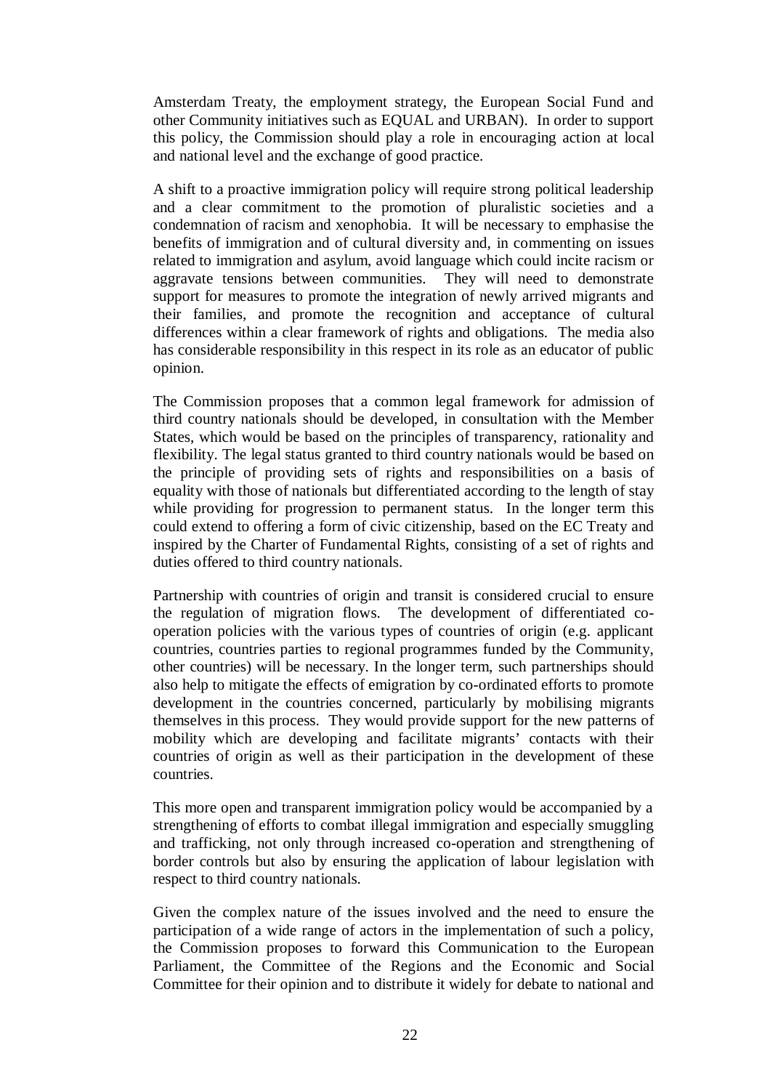Amsterdam Treaty, the employment strategy, the European Social Fund and other Community initiatives such as EQUAL and URBAN). In order to support this policy, the Commission should play a role in encouraging action at local and national level and the exchange of good practice.

A shift to a proactive immigration policy will require strong political leadership and a clear commitment to the promotion of pluralistic societies and a condemnation of racism and xenophobia. It will be necessary to emphasise the benefits of immigration and of cultural diversity and, in commenting on issues related to immigration and asylum, avoid language which could incite racism or aggravate tensions between communities. They will need to demonstrate support for measures to promote the integration of newly arrived migrants and their families, and promote the recognition and acceptance of cultural differences within a clear framework of rights and obligations. The media also has considerable responsibility in this respect in its role as an educator of public opinion.

The Commission proposes that a common legal framework for admission of third country nationals should be developed, in consultation with the Member States, which would be based on the principles of transparency, rationality and flexibility. The legal status granted to third country nationals would be based on the principle of providing sets of rights and responsibilities on a basis of equality with those of nationals but differentiated according to the length of stay while providing for progression to permanent status. In the longer term this could extend to offering a form of civic citizenship, based on the EC Treaty and inspired by the Charter of Fundamental Rights, consisting of a set of rights and duties offered to third country nationals.

Partnership with countries of origin and transit is considered crucial to ensure the regulation of migration flows. The development of differentiated cooperation policies with the various types of countries of origin (e.g. applicant countries, countries parties to regional programmes funded by the Community, other countries) will be necessary. In the longer term, such partnerships should also help to mitigate the effects of emigration by co-ordinated efforts to promote development in the countries concerned, particularly by mobilising migrants themselves in this process. They would provide support for the new patterns of mobility which are developing and facilitate migrants' contacts with their countries of origin as well as their participation in the development of these countries.

This more open and transparent immigration policy would be accompanied by a strengthening of efforts to combat illegal immigration and especially smuggling and trafficking, not only through increased co-operation and strengthening of border controls but also by ensuring the application of labour legislation with respect to third country nationals.

Given the complex nature of the issues involved and the need to ensure the participation of a wide range of actors in the implementation of such a policy, the Commission proposes to forward this Communication to the European Parliament, the Committee of the Regions and the Economic and Social Committee for their opinion and to distribute it widely for debate to national and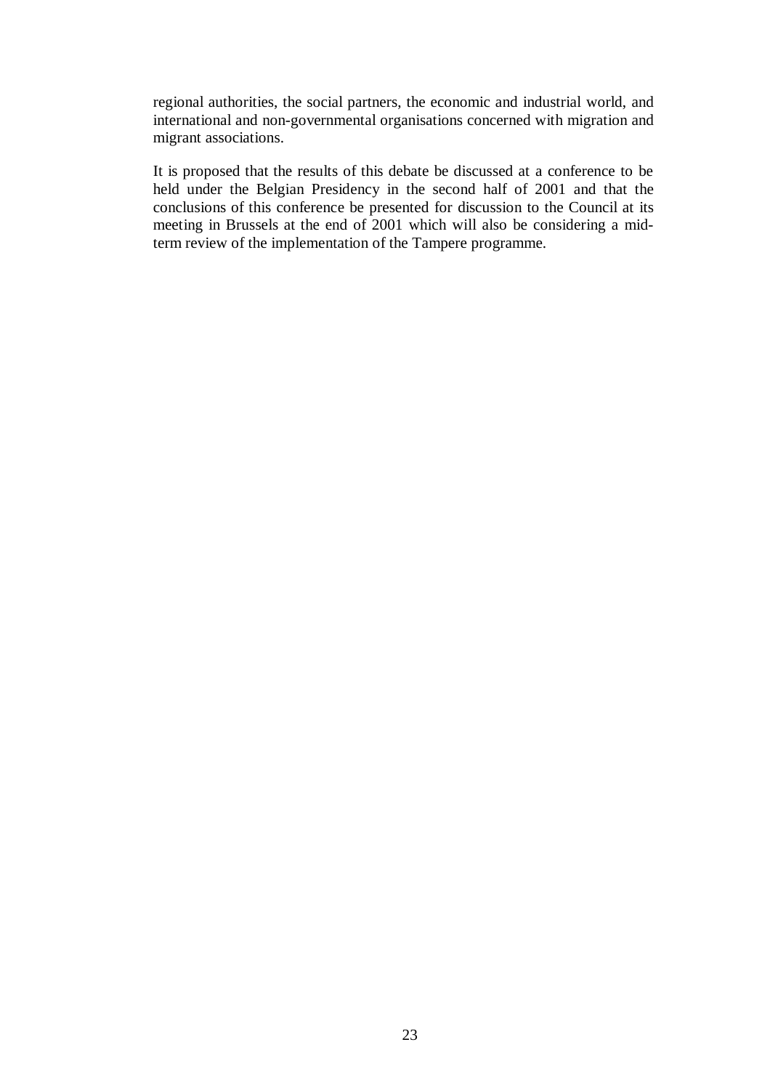regional authorities, the social partners, the economic and industrial world, and international and non-governmental organisations concerned with migration and migrant associations.

It is proposed that the results of this debate be discussed at a conference to be held under the Belgian Presidency in the second half of 2001 and that the conclusions of this conference be presented for discussion to the Council at its meeting in Brussels at the end of 2001 which will also be considering a midterm review of the implementation of the Tampere programme.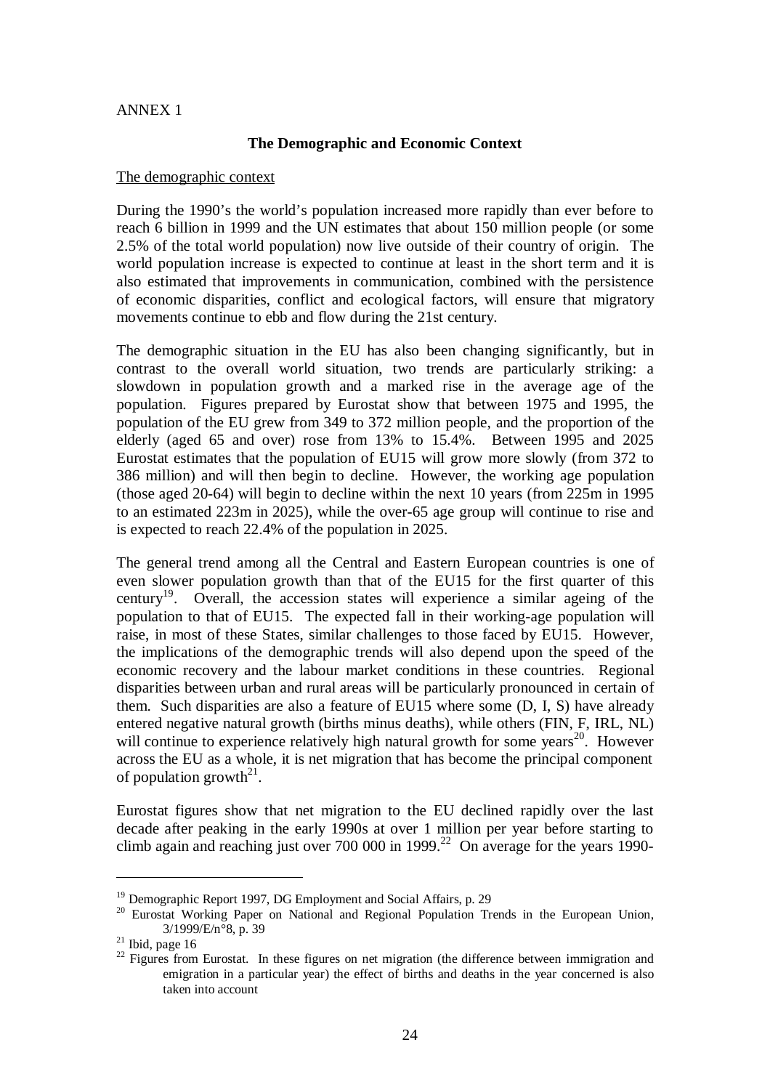#### ANNEX 1

### **The Demographic and Economic Context**

#### The demographic context

During the 1990's the world's population increased more rapidly than ever before to reach 6 billion in 1999 and the UN estimates that about 150 million people (or some 2.5% of the total world population) now live outside of their country of origin. The world population increase is expected to continue at least in the short term and it is also estimated that improvements in communication, combined with the persistence of economic disparities, conflict and ecological factors, will ensure that migratory movements continue to ebb and flow during the 21st century.

The demographic situation in the EU has also been changing significantly, but in contrast to the overall world situation, two trends are particularly striking: a slowdown in population growth and a marked rise in the average age of the population. Figures prepared by Eurostat show that between 1975 and 1995, the population of the EU grew from 349 to 372 million people, and the proportion of the elderly (aged 65 and over) rose from 13% to 15.4%. Between 1995 and 2025 Eurostat estimates that the population of EU15 will grow more slowly (from 372 to 386 million) and will then begin to decline. However, the working age population (those aged 20-64) will begin to decline within the next 10 years (from 225m in 1995 to an estimated 223m in 2025), while the over-65 age group will continue to rise and is expected to reach 22.4% of the population in 2025.

The general trend among all the Central and Eastern European countries is one of even slower population growth than that of the EU15 for the first quarter of this century<sup>19</sup>. Overall, the accession states will experience a similar ageing of the population to that of EU15. The expected fall in their working-age population will raise, in most of these States, similar challenges to those faced by EU15. However, the implications of the demographic trends will also depend upon the speed of the economic recovery and the labour market conditions in these countries. Regional disparities between urban and rural areas will be particularly pronounced in certain of them. Such disparities are also a feature of EU15 where some (D, I, S) have already entered negative natural growth (births minus deaths), while others (FIN, F, IRL, NL) will continue to experience relatively high natural growth for some years<sup>20</sup>. However across the EU as a whole, it is net migration that has become the principal component of population growth<sup>21</sup>.

Eurostat figures show that net migration to the EU declined rapidly over the last decade after peaking in the early 1990s at over 1 million per year before starting to climb again and reaching just over 700 000 in 1999.<sup>22</sup> On average for the years 1990-

<sup>&</sup>lt;sup>19</sup> Demographic Report 1997, DG Employment and Social Affairs, p. 29<br><sup>20</sup> Eurostat Working Paper on National and Regional Population Trends in the European Union,<br> $\frac{3}{1999/E/n^{\circ}8}$ , p. 39

<sup>&</sup>lt;sup>21</sup> Ibid, page 16 <sup>22</sup> Figures from Eurostat. In these figures on net migration (the difference between immigration and emigration in a particular year) the effect of births and deaths in the year concerned is also taken into account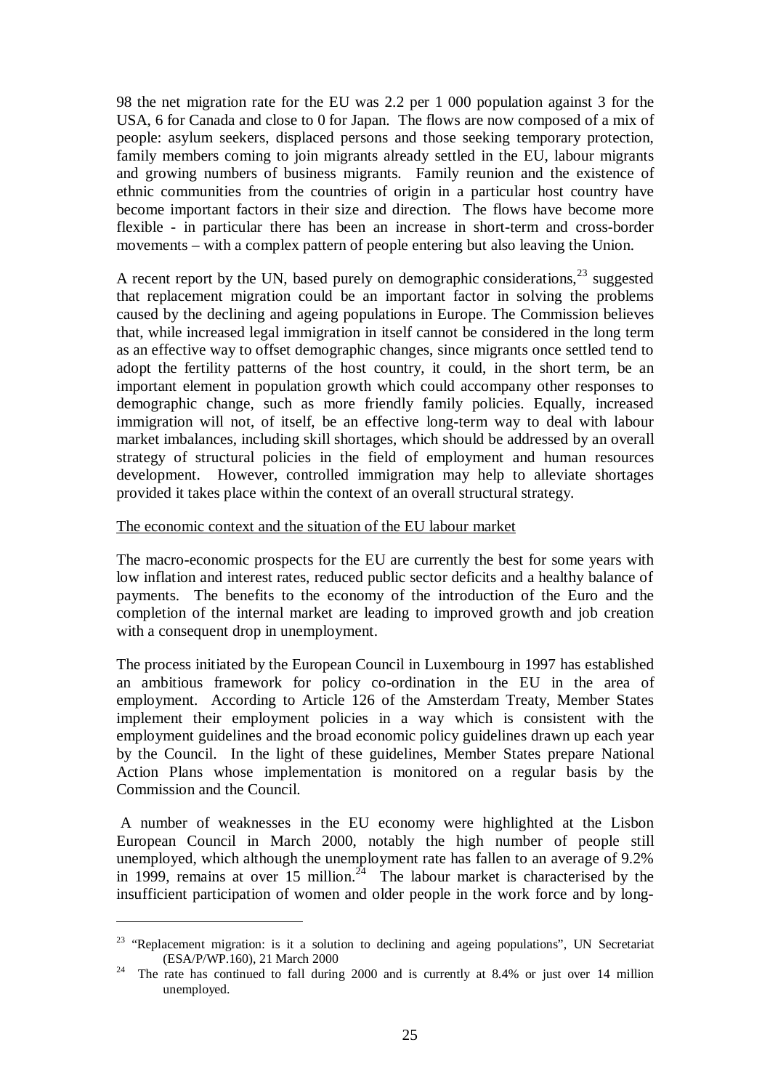98 the net migration rate for the EU was 2.2 per 1 000 population against 3 for the USA, 6 for Canada and close to 0 for Japan. The flows are now composed of a mix of people: asylum seekers, displaced persons and those seeking temporary protection, family members coming to join migrants already settled in the EU, labour migrants and growing numbers of business migrants. Family reunion and the existence of ethnic communities from the countries of origin in a particular host country have become important factors in their size and direction. The flows have become more flexible - in particular there has been an increase in short-term and cross-border movements – with a complex pattern of people entering but also leaving the Union.

A recent report by the UN, based purely on demographic considerations,  $^{23}$  suggested that replacement migration could be an important factor in solving the problems caused by the declining and ageing populations in Europe. The Commission believes that, while increased legal immigration in itself cannot be considered in the long term as an effective way to offset demographic changes, since migrants once settled tend to adopt the fertility patterns of the host country, it could, in the short term, be an important element in population growth which could accompany other responses to demographic change, such as more friendly family policies. Equally, increased immigration will not, of itself, be an effective long-term way to deal with labour market imbalances, including skill shortages, which should be addressed by an overall strategy of structural policies in the field of employment and human resources development. However, controlled immigration may help to alleviate shortages provided it takes place within the context of an overall structural strategy.

### The economic context and the situation of the EU labour market

The macro-economic prospects for the EU are currently the best for some years with low inflation and interest rates, reduced public sector deficits and a healthy balance of payments. The benefits to the economy of the introduction of the Euro and the completion of the internal market are leading to improved growth and job creation with a consequent drop in unemployment.

The process initiated by the European Council in Luxembourg in 1997 has established an ambitious framework for policy co-ordination in the EU in the area of employment. According to Article 126 of the Amsterdam Treaty, Member States implement their employment policies in a way which is consistent with the employment guidelines and the broad economic policy guidelines drawn up each year by the Council. In the light of these guidelines, Member States prepare National Action Plans whose implementation is monitored on a regular basis by the Commission and the Council.

A number of weaknesses in the EU economy were highlighted at the Lisbon European Council in March 2000, notably the high number of people still unemployed, which although the unemployment rate has fallen to an average of 9.2% in 1999, remains at over 15 million.<sup>24</sup> The labour market is characterised by the insufficient participation of women and older people in the work force and by long-

 $23$  "Replacement migration: is it a solution to declining and ageing populations", UN Secretariat

<sup>(</sup>ESA/P/WP.160), 21 March 2000  $^{24}$  The rate has continued to fall during 2000 and is currently at 8.4% or just over 14 million unemployed.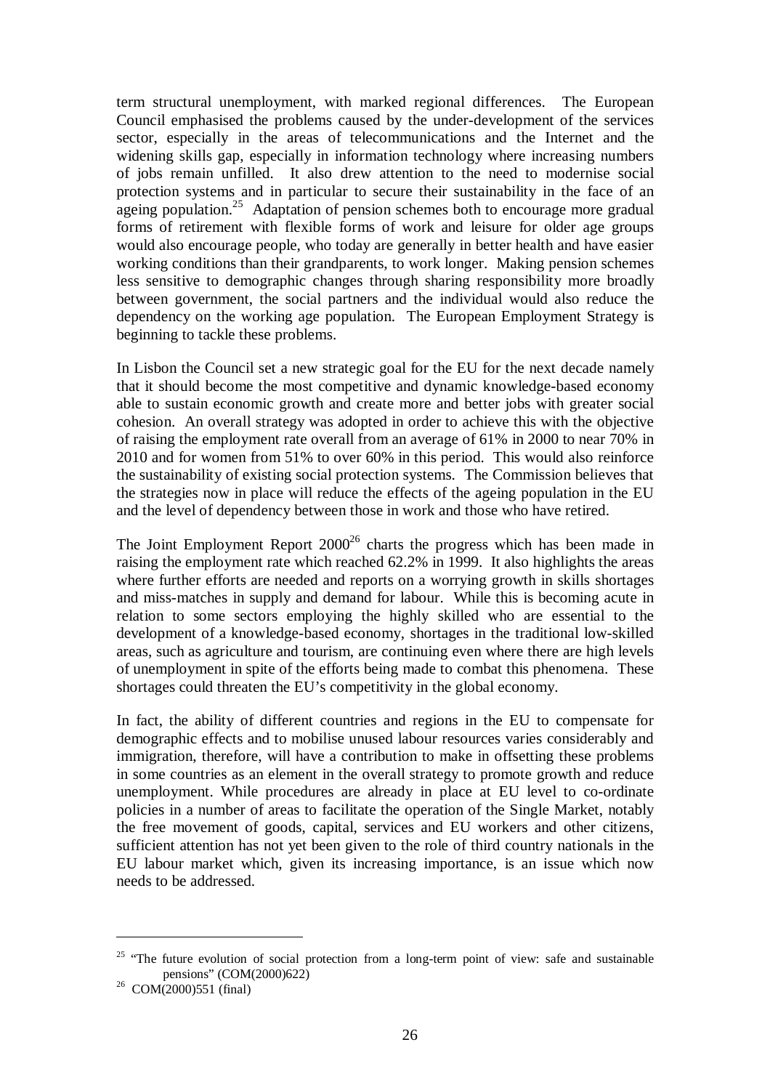term structural unemployment, with marked regional differences. The European Council emphasised the problems caused by the under-development of the services sector, especially in the areas of telecommunications and the Internet and the widening skills gap, especially in information technology where increasing numbers of jobs remain unfilled. It also drew attention to the need to modernise social protection systems and in particular to secure their sustainability in the face of an ageing population.<sup>25</sup> Adaptation of pension schemes both to encourage more gradual forms of retirement with flexible forms of work and leisure for older age groups would also encourage people, who today are generally in better health and have easier working conditions than their grandparents, to work longer. Making pension schemes less sensitive to demographic changes through sharing responsibility more broadly between government, the social partners and the individual would also reduce the dependency on the working age population. The European Employment Strategy is beginning to tackle these problems.

In Lisbon the Council set a new strategic goal for the EU for the next decade namely that it should become the most competitive and dynamic knowledge-based economy able to sustain economic growth and create more and better jobs with greater social cohesion. An overall strategy was adopted in order to achieve this with the objective of raising the employment rate overall from an average of 61% in 2000 to near 70% in 2010 and for women from 51% to over 60% in this period. This would also reinforce the sustainability of existing social protection systems. The Commission believes that the strategies now in place will reduce the effects of the ageing population in the EU and the level of dependency between those in work and those who have retired.

The Joint Employment Report  $2000^{26}$  charts the progress which has been made in raising the employment rate which reached 62.2% in 1999. It also highlights the areas where further efforts are needed and reports on a worrying growth in skills shortages and miss-matches in supply and demand for labour. While this is becoming acute in relation to some sectors employing the highly skilled who are essential to the development of a knowledge-based economy, shortages in the traditional low-skilled areas, such as agriculture and tourism, are continuing even where there are high levels of unemployment in spite of the efforts being made to combat this phenomena. These shortages could threaten the EU's competitivity in the global economy.

In fact, the ability of different countries and regions in the EU to compensate for demographic effects and to mobilise unused labour resources varies considerably and immigration, therefore, will have a contribution to make in offsetting these problems in some countries as an element in the overall strategy to promote growth and reduce unemployment. While procedures are already in place at EU level to co-ordinate policies in a number of areas to facilitate the operation of the Single Market, notably the free movement of goods, capital, services and EU workers and other citizens, sufficient attention has not yet been given to the role of third country nationals in the EU labour market which, given its increasing importance, is an issue which now needs to be addressed.

<sup>&</sup>lt;sup>25</sup> "The future evolution of social protection from a long-term point of view: safe and sustainable pensions" (COM(2000)622)<br><sup>26</sup> COM(2000)551 (final)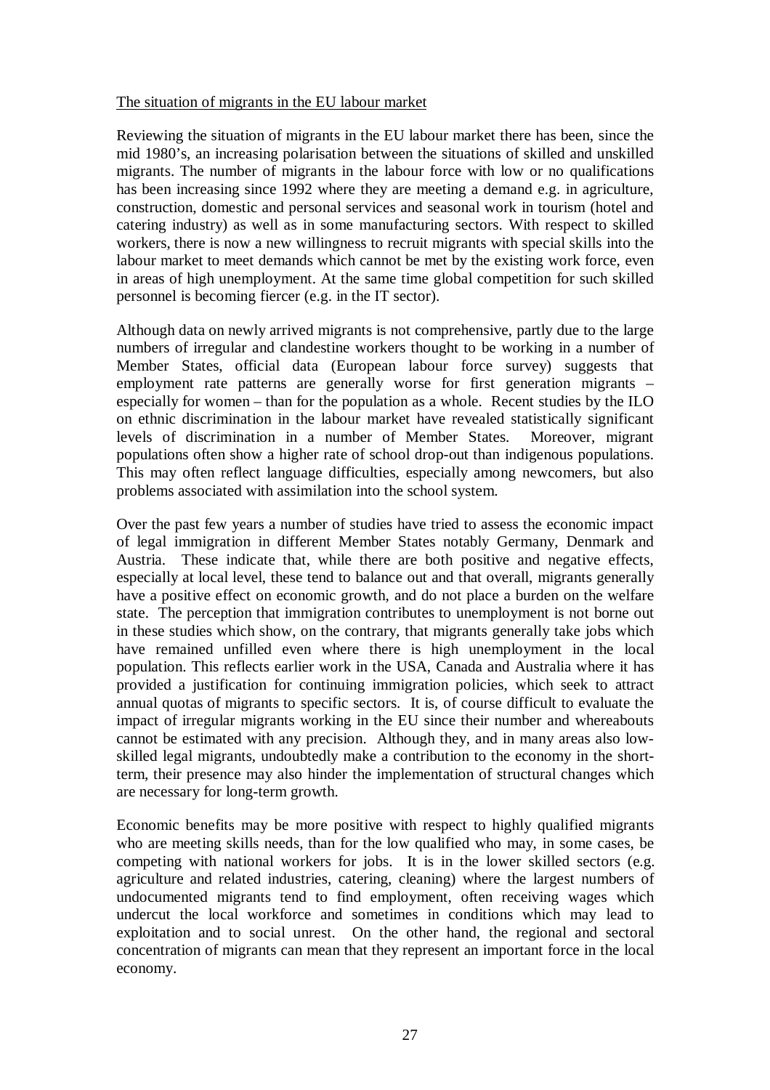### The situation of migrants in the EU labour market

Reviewing the situation of migrants in the EU labour market there has been, since the mid 1980's, an increasing polarisation between the situations of skilled and unskilled migrants. The number of migrants in the labour force with low or no qualifications has been increasing since 1992 where they are meeting a demand e.g. in agriculture, construction, domestic and personal services and seasonal work in tourism (hotel and catering industry) as well as in some manufacturing sectors. With respect to skilled workers, there is now a new willingness to recruit migrants with special skills into the labour market to meet demands which cannot be met by the existing work force, even in areas of high unemployment. At the same time global competition for such skilled personnel is becoming fiercer (e.g. in the IT sector).

Although data on newly arrived migrants is not comprehensive, partly due to the large numbers of irregular and clandestine workers thought to be working in a number of Member States, official data (European labour force survey) suggests that employment rate patterns are generally worse for first generation migrants – especially for women – than for the population as a whole. Recent studies by the ILO on ethnic discrimination in the labour market have revealed statistically significant levels of discrimination in a number of Member States. Moreover, migrant populations often show a higher rate of school drop-out than indigenous populations. This may often reflect language difficulties, especially among newcomers, but also problems associated with assimilation into the school system.

Over the past few years a number of studies have tried to assess the economic impact of legal immigration in different Member States notably Germany, Denmark and Austria. These indicate that, while there are both positive and negative effects, especially at local level, these tend to balance out and that overall, migrants generally have a positive effect on economic growth, and do not place a burden on the welfare state. The perception that immigration contributes to unemployment is not borne out in these studies which show, on the contrary, that migrants generally take jobs which have remained unfilled even where there is high unemployment in the local population. This reflects earlier work in the USA, Canada and Australia where it has provided a justification for continuing immigration policies, which seek to attract annual quotas of migrants to specific sectors. It is, of course difficult to evaluate the impact of irregular migrants working in the EU since their number and whereabouts cannot be estimated with any precision. Although they, and in many areas also lowskilled legal migrants, undoubtedly make a contribution to the economy in the shortterm, their presence may also hinder the implementation of structural changes which are necessary for long-term growth.

Economic benefits may be more positive with respect to highly qualified migrants who are meeting skills needs, than for the low qualified who may, in some cases, be competing with national workers for jobs. It is in the lower skilled sectors (e.g. agriculture and related industries, catering, cleaning) where the largest numbers of undocumented migrants tend to find employment, often receiving wages which undercut the local workforce and sometimes in conditions which may lead to exploitation and to social unrest. On the other hand, the regional and sectoral concentration of migrants can mean that they represent an important force in the local economy.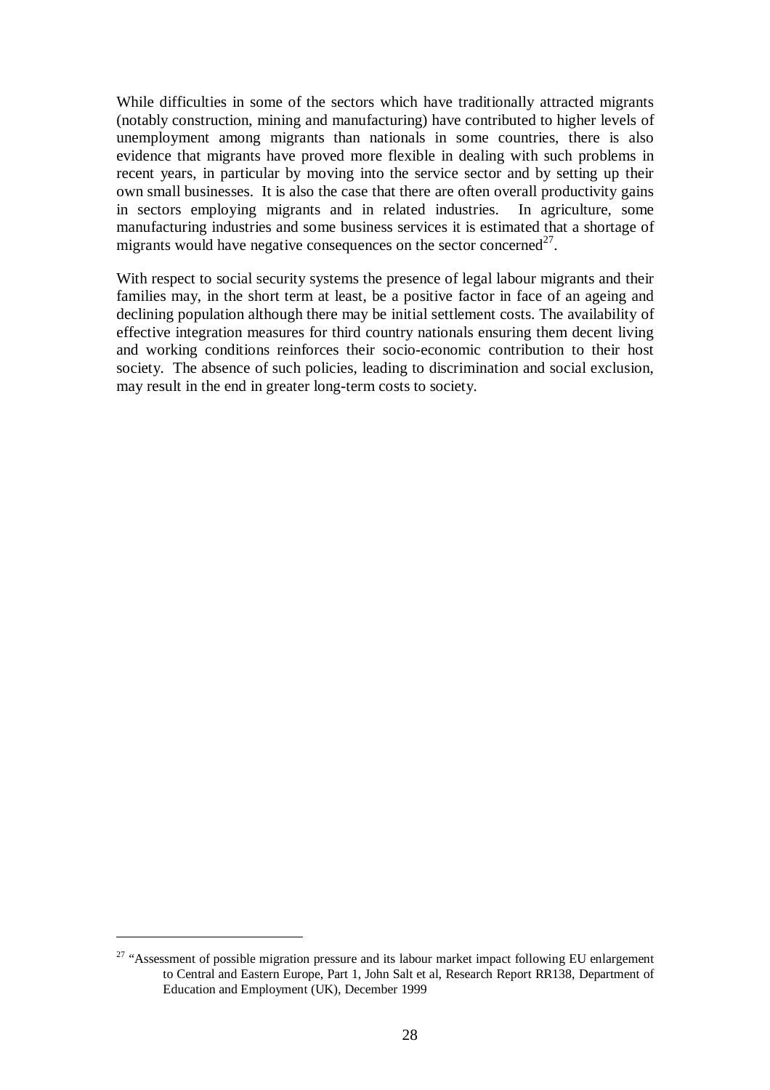While difficulties in some of the sectors which have traditionally attracted migrants (notably construction, mining and manufacturing) have contributed to higher levels of unemployment among migrants than nationals in some countries, there is also evidence that migrants have proved more flexible in dealing with such problems in recent years, in particular by moving into the service sector and by setting up their own small businesses. It is also the case that there are often overall productivity gains in sectors employing migrants and in related industries. In agriculture, some manufacturing industries and some business services it is estimated that a shortage of migrants would have negative consequences on the sector concerned<sup>27</sup>.

With respect to social security systems the presence of legal labour migrants and their families may, in the short term at least, be a positive factor in face of an ageing and declining population although there may be initial settlement costs. The availability of effective integration measures for third country nationals ensuring them decent living and working conditions reinforces their socio-economic contribution to their host society. The absence of such policies, leading to discrimination and social exclusion, may result in the end in greater long-term costs to society.

<sup>&</sup>lt;sup>27</sup> "Assessment of possible migration pressure and its labour market impact following EU enlargement to Central and Eastern Europe, Part 1, John Salt et al, Research Report RR138, Department of Education and Employment (UK), December 1999